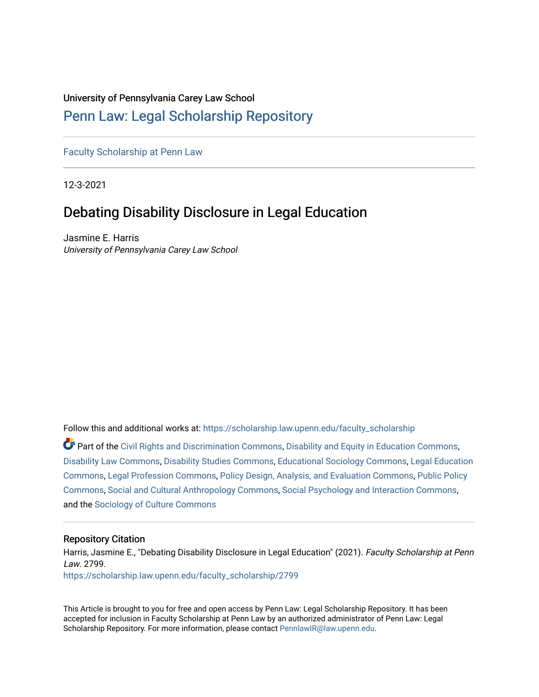## University of Pennsylvania Carey Law School

# [Penn Law: Legal Scholarship Repository](https://scholarship.law.upenn.edu/)

[Faculty Scholarship at Penn Law](https://scholarship.law.upenn.edu/faculty_scholarship)

12-3-2021

# Debating Disability Disclosure in Legal Education

Jasmine E. Harris University of Pennsylvania Carey Law School

Follow this and additional works at: [https://scholarship.law.upenn.edu/faculty\\_scholarship](https://scholarship.law.upenn.edu/faculty_scholarship?utm_source=scholarship.law.upenn.edu%2Ffaculty_scholarship%2F2799&utm_medium=PDF&utm_campaign=PDFCoverPages) 

Part of the [Civil Rights and Discrimination Commons,](https://network.bepress.com/hgg/discipline/585?utm_source=scholarship.law.upenn.edu%2Ffaculty_scholarship%2F2799&utm_medium=PDF&utm_campaign=PDFCoverPages) [Disability and Equity in Education Commons](https://network.bepress.com/hgg/discipline/1040?utm_source=scholarship.law.upenn.edu%2Ffaculty_scholarship%2F2799&utm_medium=PDF&utm_campaign=PDFCoverPages), [Disability Law Commons,](https://network.bepress.com/hgg/discipline/1074?utm_source=scholarship.law.upenn.edu%2Ffaculty_scholarship%2F2799&utm_medium=PDF&utm_campaign=PDFCoverPages) [Disability Studies Commons](https://network.bepress.com/hgg/discipline/1417?utm_source=scholarship.law.upenn.edu%2Ffaculty_scholarship%2F2799&utm_medium=PDF&utm_campaign=PDFCoverPages), [Educational Sociology Commons](https://network.bepress.com/hgg/discipline/1071?utm_source=scholarship.law.upenn.edu%2Ffaculty_scholarship%2F2799&utm_medium=PDF&utm_campaign=PDFCoverPages), [Legal Education](https://network.bepress.com/hgg/discipline/857?utm_source=scholarship.law.upenn.edu%2Ffaculty_scholarship%2F2799&utm_medium=PDF&utm_campaign=PDFCoverPages)  [Commons](https://network.bepress.com/hgg/discipline/857?utm_source=scholarship.law.upenn.edu%2Ffaculty_scholarship%2F2799&utm_medium=PDF&utm_campaign=PDFCoverPages), [Legal Profession Commons,](https://network.bepress.com/hgg/discipline/1075?utm_source=scholarship.law.upenn.edu%2Ffaculty_scholarship%2F2799&utm_medium=PDF&utm_campaign=PDFCoverPages) [Policy Design, Analysis, and Evaluation Commons,](https://network.bepress.com/hgg/discipline/1032?utm_source=scholarship.law.upenn.edu%2Ffaculty_scholarship%2F2799&utm_medium=PDF&utm_campaign=PDFCoverPages) [Public Policy](https://network.bepress.com/hgg/discipline/400?utm_source=scholarship.law.upenn.edu%2Ffaculty_scholarship%2F2799&utm_medium=PDF&utm_campaign=PDFCoverPages) [Commons](https://network.bepress.com/hgg/discipline/400?utm_source=scholarship.law.upenn.edu%2Ffaculty_scholarship%2F2799&utm_medium=PDF&utm_campaign=PDFCoverPages), [Social and Cultural Anthropology Commons](https://network.bepress.com/hgg/discipline/323?utm_source=scholarship.law.upenn.edu%2Ffaculty_scholarship%2F2799&utm_medium=PDF&utm_campaign=PDFCoverPages), [Social Psychology and Interaction Commons](https://network.bepress.com/hgg/discipline/430?utm_source=scholarship.law.upenn.edu%2Ffaculty_scholarship%2F2799&utm_medium=PDF&utm_campaign=PDFCoverPages), and the [Sociology of Culture Commons](https://network.bepress.com/hgg/discipline/431?utm_source=scholarship.law.upenn.edu%2Ffaculty_scholarship%2F2799&utm_medium=PDF&utm_campaign=PDFCoverPages) 

#### Repository Citation

Harris, Jasmine E., "Debating Disability Disclosure in Legal Education" (2021). Faculty Scholarship at Penn Law. 2799. [https://scholarship.law.upenn.edu/faculty\\_scholarship/2799](https://scholarship.law.upenn.edu/faculty_scholarship/2799?utm_source=scholarship.law.upenn.edu%2Ffaculty_scholarship%2F2799&utm_medium=PDF&utm_campaign=PDFCoverPages)

This Article is brought to you for free and open access by Penn Law: Legal Scholarship Repository. It has been accepted for inclusion in Faculty Scholarship at Penn Law by an authorized administrator of Penn Law: Legal Scholarship Repository. For more information, please contact [PennlawIR@law.upenn.edu.](mailto:PennlawIR@law.upenn.edu)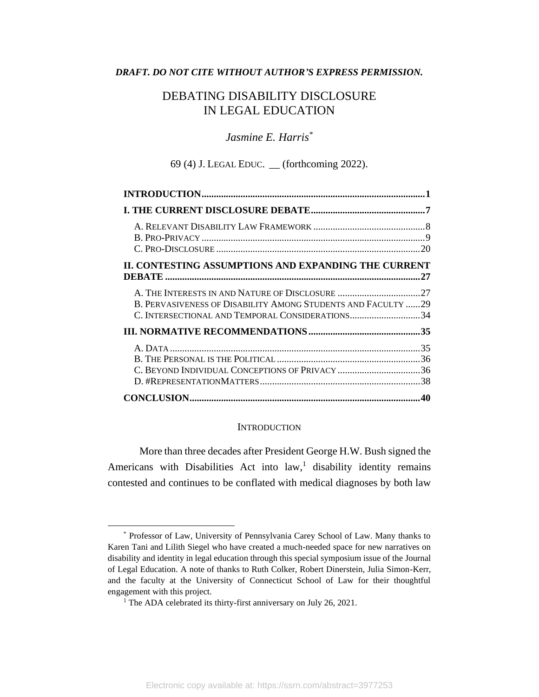### *DRAFT. DO NOT CITE WITHOUT AUTHOR'S EXPRESS PERMISSION.*

## DEBATING DISABILITY DISCLOSURE IN LEGAL EDUCATION

## *Jasmine E. Harris\**

69 (4) J. LEGAL EDUC. \_\_ (forthcoming 2022).

| II. CONTESTING ASSUMPTIONS AND EXPANDING THE CURRENT                                                            |    |
|-----------------------------------------------------------------------------------------------------------------|----|
| B. PERVASIVENESS OF DISABILITY AMONG STUDENTS AND FACULTY 29<br>C. INTERSECTIONAL AND TEMPORAL CONSIDERATIONS34 |    |
|                                                                                                                 |    |
| C. BEYOND INDIVIDUAL CONCEPTIONS OF PRIVACY 36                                                                  | 35 |
|                                                                                                                 |    |

#### **INTRODUCTION**

<span id="page-1-0"></span>More than three decades after President George H.W. Bush signed the Americans with Disabilities Act into  $law$ ,<sup>1</sup> disability identity remains contested and continues to be conflated with medical diagnoses by both law

<sup>\*</sup> Professor of Law, University of Pennsylvania Carey School of Law. Many thanks to Karen Tani and Lilith Siegel who have created a much-needed space for new narratives on disability and identity in legal education through this special symposium issue of the Journal of Legal Education. A note of thanks to Ruth Colker, Robert Dinerstein, Julia Simon-Kerr, and the faculty at the University of Connecticut School of Law for their thoughtful engagement with this project.

<sup>&</sup>lt;sup>1</sup> The ADA celebrated its thirty-first anniversary on July 26, 2021.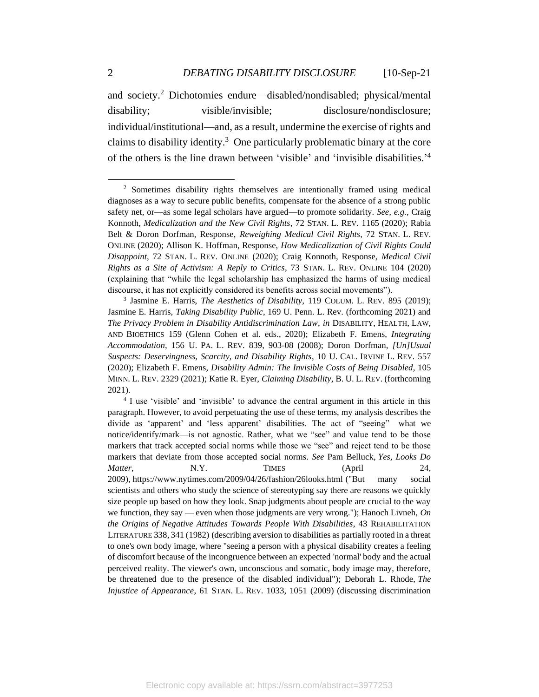and society.<sup>2</sup> Dichotomies endure—disabled/nondisabled; physical/mental disability; visible/invisible; disclosure/nondisclosure; individual/institutional—and, as a result, undermine the exercise of rights and claims to disability identity.<sup>3</sup> One particularly problematic binary at the core of the others is the line drawn between 'visible' and 'invisible disabilities.' 4

3 Jasmine E. Harris, *The Aesthetics of Disability*, 119 COLUM. L. REV. 895 (2019); Jasmine E. Harris, *Taking Disability Public*, 169 U. Penn. L. Rev. (forthcoming 2021) and *The Privacy Problem in Disability Antidiscrimination Law*, *in* DISABILITY, HEALTH, LAW, AND BIOETHICS 159 (Glenn Cohen et al. eds., 2020); Elizabeth F. Emens, *Integrating Accommodation*, 156 U. PA. L. REV. 839, 903-08 (2008); Doron Dorfman, *[Un]Usual Suspects: Deservingness, Scarcity, and Disability Rights*, 10 U. CAL. IRVINE L. REV. 557 (2020); Elizabeth F. Emens, *Disability Admin: The Invisible Costs of Being Disabled*, 105 MINN. L. REV. 2329 (2021); Katie R. Eyer, *Claiming Disability*, B. U. L. REV. (forthcoming 2021).

<sup>4</sup> I use 'visible' and 'invisible' to advance the central argument in this article in this paragraph. However, to avoid perpetuating the use of these terms, my analysis describes the divide as 'apparent' and 'less apparent' disabilities. The act of "seeing"—what we notice/identify/mark—is not agnostic. Rather, what we "see" and value tend to be those markers that track accepted social norms while those we "see" and reject tend to be those markers that deviate from those accepted social norms. *See* Pam Belluck, *Yes, Looks Do Matter*, **N.Y.** TIMES (April 24, 2009), https://www.nytimes.com/2009/04/26/fashion/26looks.html ("But many social scientists and others who study the science of stereotyping say there are reasons we quickly size people up based on how they look. Snap judgments about people are crucial to the way we function, they say — even when those judgments are very wrong."); Hanoch Livneh, *On the Origins of Negative Attitudes Towards People With Disabilities*, 43 REHABILITATION LITERATURE 338, 341 (1982) (describing aversion to disabilities as partially rooted in a threat to one's own body image, where "seeing a person with a physical disability creates a feeling of discomfort because of the incongruence between an expected 'normal' body and the actual perceived reality. The viewer's own, unconscious and somatic, body image may, therefore, be threatened due to the presence of the disabled individual"); Deborah L. Rhode, *The Injustice of Appearance*, 61 STAN. L. REV. 1033, 1051 (2009) (discussing discrimination

<sup>2</sup> Sometimes disability rights themselves are intentionally framed using medical diagnoses as a way to secure public benefits, compensate for the absence of a strong public safety net, or—as some legal scholars have argued—to promote solidarity. *See, e.g.*, Craig Konnoth, *Medicalization and the New Civil Rights*, 72 STAN. L. REV. 1165 (2020); Rabia Belt & Doron Dorfman, Response, *Reweighing Medical Civil Rights*, 72 STAN. L. REV. ONLINE (2020); Allison K. Hoffman, Response, *How Medicalization of Civil Rights Could Disappoint*, 72 STAN. L. REV. ONLINE (2020); Craig Konnoth, Response, *Medical Civil Rights as a Site of Activism: A Reply to Critics*, 73 STAN. L. REV. ONLINE 104 (2020) (explaining that "while the legal scholarship has emphasized the harms of using medical discourse, it has not explicitly considered its benefits across social movements").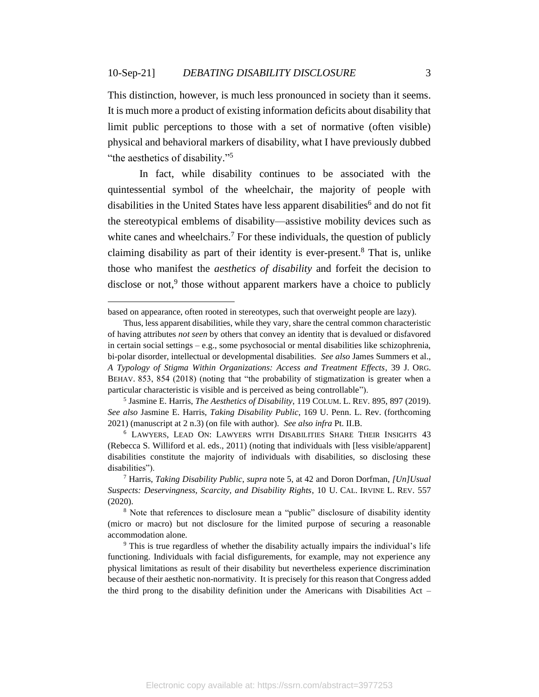This distinction, however, is much less pronounced in society than it seems. It is much more a product of existing information deficits about disability that limit public perceptions to those with a set of normative (often visible) physical and behavioral markers of disability, what I have previously dubbed "the aesthetics of disability."<sup>5</sup>

In fact, while disability continues to be associated with the quintessential symbol of the wheelchair, the majority of people with disabilities in the United States have less apparent disabilities<sup>6</sup> and do not fit the stereotypical emblems of disability—assistive mobility devices such as white canes and wheelchairs.<sup>7</sup> For these individuals, the question of publicly claiming disability as part of their identity is ever-present. $8$  That is, unlike those who manifest the *aesthetics of disability* and forfeit the decision to disclose or not,<sup>9</sup> those without apparent markers have a choice to publicly

based on appearance, often rooted in stereotypes, such that overweight people are lazy).

Thus, less apparent disabilities, while they vary, share the central common characteristic of having attributes *not seen* by others that convey an identity that is devalued or disfavored in certain social settings – e.g., some psychosocial or mental disabilities like schizophrenia, bi-polar disorder, intellectual or developmental disabilities. *See also* James Summers et al., *A Typology of Stigma Within Organizations: Access and Treatment Effects*, 39 J. ORG. BEHAV. 853, 854 (2018) (noting that "the probability of stigmatization is greater when a particular characteristic is visible and is perceived as being controllable").

<sup>5</sup> Jasmine E. Harris, *The Aesthetics of Disability*, 119 COLUM. L. REV. 895, 897 (2019). *See also* Jasmine E. Harris, *Taking Disability Public*, 169 U. Penn. L. Rev. (forthcoming 2021) (manuscript at 2 n.3) (on file with author). *See also infra* Pt. II.B.

<sup>6</sup> LAWYERS, LEAD ON: LAWYERS WITH DISABILITIES SHARE THEIR INSIGHTS 43 (Rebecca S. Williford et al. eds., 2011) (noting that individuals with [less visible/apparent] disabilities constitute the majority of individuals with disabilities, so disclosing these disabilities").

<sup>7</sup> Harris, *Taking Disability Public*, *supra* note 5, at 42 and Doron Dorfman, *[Un]Usual Suspects: Deservingness, Scarcity, and Disability Rights*, 10 U. CAL. IRVINE L. REV. 557 (2020).

<sup>&</sup>lt;sup>8</sup> Note that references to disclosure mean a "public" disclosure of disability identity (micro or macro) but not disclosure for the limited purpose of securing a reasonable accommodation alone.

<sup>9</sup> This is true regardless of whether the disability actually impairs the individual's life functioning. Individuals with facial disfigurements, for example, may not experience any physical limitations as result of their disability but nevertheless experience discrimination because of their aesthetic non-normativity. It is precisely for this reason that Congress added the third prong to the disability definition under the Americans with Disabilities Act –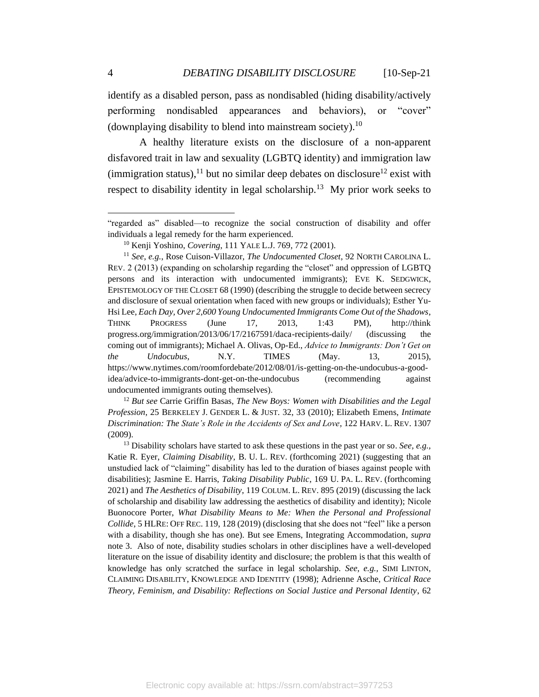identify as a disabled person, pass as nondisabled (hiding disability/actively performing nondisabled appearances and behaviors), or "cover" (downplaying disability to blend into mainstream society).<sup>10</sup>

A healthy literature exists on the disclosure of a non-apparent disfavored trait in law and sexuality (LGBTQ identity) and immigration law (immigration status), <sup>11</sup> but no similar deep debates on disclosure<sup>12</sup> exist with respect to disability identity in legal scholarship.<sup>13</sup> My prior work seeks to

<sup>12</sup> *But see* Carrie Griffin Basas, *The New Boys: Women with Disabilities and the Legal Profession*, 25 BERKELEY J. GENDER L. & JUST. 32, 33 (2010); Elizabeth Emens, *Intimate Discrimination: The State's Role in the Accidents of Sex and Love*, 122 HARV. L. REV. 1307 (2009).

<sup>&</sup>quot;regarded as" disabled—to recognize the social construction of disability and offer individuals a legal remedy for the harm experienced.

<sup>10</sup> Kenji Yoshino, *Covering*, 111 YALE L.J. 769, 772 (2001).

<sup>11</sup> *See, e.g.*, Rose Cuison-Villazor, *The Undocumented Closet*, 92 NORTH CAROLINA L. REV. 2 (2013) (expanding on scholarship regarding the "closet" and oppression of LGBTQ persons and its interaction with undocumented immigrants); EVE K. SEDGWICK, EPISTEMOLOGY OF THE CLOSET 68 (1990) (describing the struggle to decide between secrecy and disclosure of sexual orientation when faced with new groups or individuals); Esther Yu-Hsi Lee, *Each Day, Over 2,600 Young Undocumented Immigrants Come Out of the Shadows*, THINK PROGRESS (June 17, 2013, 1:43 PM), http://think progress.org/immigration/2013/06/17/2167591/daca-recipients-daily/ (discussing the coming out of immigrants); Michael A. Olivas, Op-Ed., *Advice to Immigrants: Don't Get on the Undocubus*, N.Y. TIMES (May. 13, 2015), https://www.nytimes.com/roomfordebate/2012/08/01/is-getting-on-the-undocubus-a-goodidea/advice-to-immigrants-dont-get-on-the-undocubus (recommending against undocumented immigrants outing themselves).

<sup>13</sup> Disability scholars have started to ask these questions in the past year or so. *See, e.g.,* Katie R. Eyer, *Claiming Disability*, B. U. L. REV. (forthcoming 2021) (suggesting that an unstudied lack of "claiming" disability has led to the duration of biases against people with disabilities); Jasmine E. Harris, *Taking Disability Public*, 169 U. PA. L. REV. (forthcoming 2021) and *The Aesthetics of Disability*, 119 COLUM. L. REV. 895 (2019) (discussing the lack of scholarship and disability law addressing the aesthetics of disability and identity); Nicole Buonocore Porter, *What Disability Means to Me: When the Personal and Professional Collide*, 5 HLRE: OFF REC. 119, 128 (2019) (disclosing that she does not "feel" like a person with a disability, though she has one). But see Emens, Integrating Accommodation, *supra* note 3. Also of note, disability studies scholars in other disciplines have a well-developed literature on the issue of disability identity and disclosure; the problem is that this wealth of knowledge has only scratched the surface in legal scholarship. *See, e.g.,* SIMI LINTON, CLAIMING DISABILITY, KNOWLEDGE AND IDENTITY (1998); Adrienne Asche, *Critical Race Theory, Feminism, and Disability: Reflections on Social Justice and Personal Identity*, 62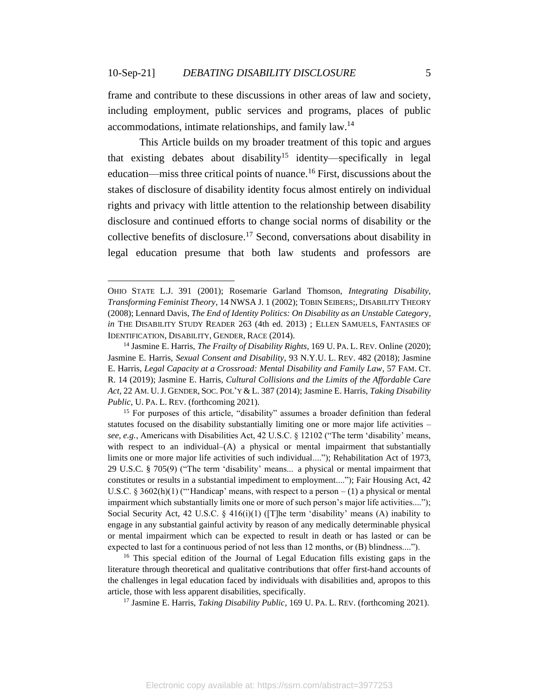frame and contribute to these discussions in other areas of law and society, including employment, public services and programs, places of public accommodations, intimate relationships, and family law.<sup>14</sup>

This Article builds on my broader treatment of this topic and argues that existing debates about disability<sup>15</sup> identity—specifically in legal education—miss three critical points of nuance.<sup>16</sup> First, discussions about the stakes of disclosure of disability identity focus almost entirely on individual rights and privacy with little attention to the relationship between disability disclosure and continued efforts to change social norms of disability or the collective benefits of disclosure. <sup>17</sup> Second, conversations about disability in legal education presume that both law students and professors are

<sup>15</sup> For purposes of this article, "disability" assumes a broader definition than federal statutes focused on the disability substantially limiting one or more major life activities – *see, e.g.*, Americans with Disabilities Act, 42 U.S.C. § 12102 ("The term 'disability' means, with respect to an individual–(A) a physical or mental impairment that substantially limits one or more major life activities of such individual...."); Rehabilitation Act of 1973, 29 U.S.C. § 705(9) ("The term 'disability' means... a physical or mental impairment that constitutes or results in a substantial impediment to employment...."); Fair Housing Act, 42 U.S.C.  $\S 3602(h)(1)$  ("Handicap' means, with respect to a person  $-(1)$  a physical or mental impairment which substantially limits one or more of such person's major life activities...."); Social Security Act, 42 U.S.C.  $\S$  416(i)(1) ([T]he term 'disability' means (A) inability to engage in any substantial gainful activity by reason of any medically determinable physical or mental impairment which can be expected to result in death or has lasted or can be expected to last for a continuous period of not less than 12 months, or (B) blindness....").

<sup>16</sup> This special edition of the Journal of Legal Education fills existing gaps in the literature through theoretical and qualitative contributions that offer first-hand accounts of the challenges in legal education faced by individuals with disabilities and, apropos to this article, those with less apparent disabilities, specifically.

<sup>17</sup> Jasmine E. Harris, *Taking Disability Public*, 169 U. PA. L. REV. (forthcoming 2021).

OHIO STATE L.J. 391 (2001); Rosemarie Garland Thomson, *Integrating Disability, Transforming Feminist Theory*, 14 NWSA J. 1 (2002); TOBIN SEIBERS;, DISABILITY THEORY (2008); Lennard Davis, *The End of Identity Politics: On Disability as an Unstable Categor*y, *in* THE DISABILITY STUDY READER 263 (4th ed. 2013) ; ELLEN SAMUELS, FANTASIES OF IDENTIFICATION, DISABILITY, GENDER, RACE (2014).

<sup>14</sup> Jasmine E. Harris, *The Frailty of Disability Rights*, 169 U. PA. L. REV. Online (2020); Jasmine E. Harris, *Sexual Consent and Disability*, 93 N.Y.U. L. REV. 482 (2018); Jasmine E. Harris, *Legal Capacity at a Crossroad: Mental Disability and Family Law*, 57 FAM. CT. R. 14 (2019); Jasmine E. Harris, *Cultural Collisions and the Limits of the Affordable Care Act*, 22 AM. U.J. GENDER, SOC. POL'Y & L. 387 (2014); Jasmine E. Harris, *Taking Disability Public*, U. PA. L. REV. (forthcoming 2021).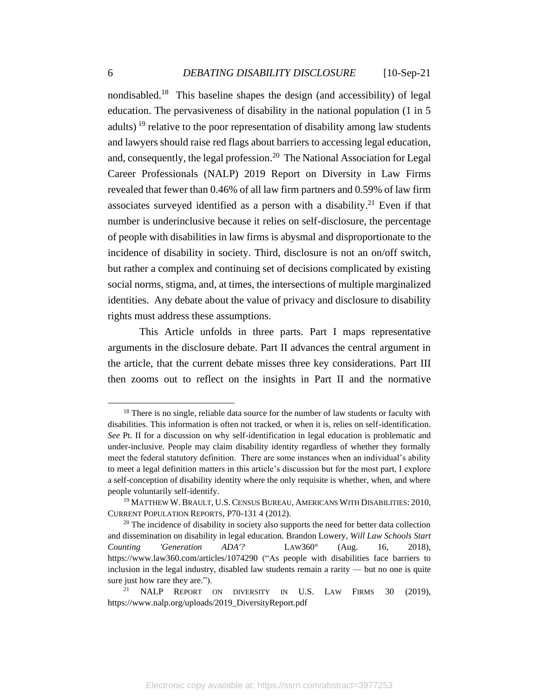nondisabled.<sup>18</sup> This baseline shapes the design (and accessibility) of legal education. The pervasiveness of disability in the national population (1 in 5 adults)  $^{19}$  relative to the poor representation of disability among law students and lawyers should raise red flags about barriers to accessing legal education, and, consequently, the legal profession. <sup>20</sup> The National Association for Legal Career Professionals (NALP) 2019 Report on Diversity in Law Firms revealed that fewer than 0.46% of all law firm partners and 0.59% of law firm associates surveyed identified as a person with a disability. <sup>21</sup> Even if that number is underinclusive because it relies on self-disclosure, the percentage of people with disabilities in law firms is abysmal and disproportionate to the incidence of disability in society. Third, disclosure is not an on/off switch, but rather a complex and continuing set of decisions complicated by existing social norms, stigma, and, at times, the intersections of multiple marginalized identities. Any debate about the value of privacy and disclosure to disability rights must address these assumptions.

This Article unfolds in three parts. Part I maps representative arguments in the disclosure debate. Part II advances the central argument in the article, that the current debate misses three key considerations. Part III then zooms out to reflect on the insights in Part II and the normative

<sup>&</sup>lt;sup>18</sup> There is no single, reliable data source for the number of law students or faculty with disabilities. This information is often not tracked, or when it is, relies on self-identification. *See* Pt. II for a discussion on why self-identification in legal education is problematic and under-inclusive. People may claim disability identity regardless of whether they formally meet the federal statutory definition. There are some instances when an individual's ability to meet a legal definition matters in this article's discussion but for the most part, I explore a self-conception of disability identity where the only requisite is whether, when, and where people voluntarily self-identify.

<sup>&</sup>lt;sup>19</sup> MATTHEW W. BRAULT, U.S. CENSUS BUREAU, AMERICANS WITH DISABILITIES: 2010, CURRENT POPULATION REPORTS, P70-131 4 (2012).

 $20$  The incidence of disability in society also supports the need for better data collection and dissemination on disability in legal education. Brandon Lowery, *Will Law Schools Start Counting 'Generation ADA'?* LAW360° (Aug. 16, 2018), https://www.law360.com/articles/1074290 ("As people with disabilities face barriers to inclusion in the legal industry, disabled law students remain a rarity — but no one is quite sure just how rare they are.").

NALP REPORT ON DIVERSITY IN U.S. LAW FIRMS 30 (2019), https://www.nalp.org/uploads/2019\_DiversityReport.pdf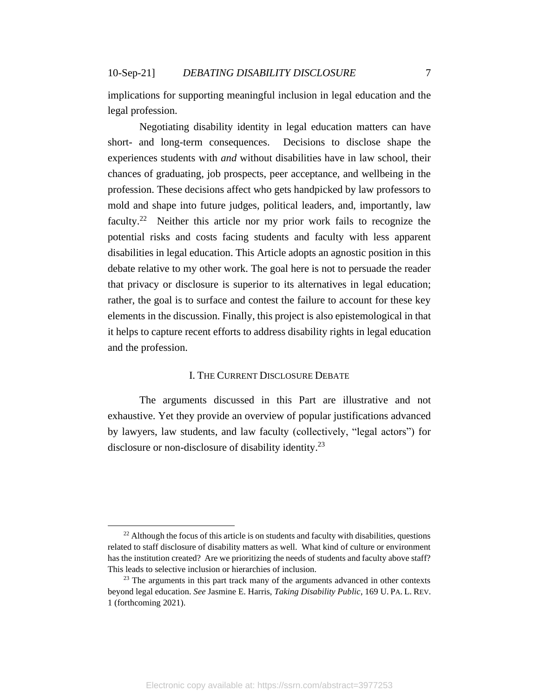implications for supporting meaningful inclusion in legal education and the legal profession.

Negotiating disability identity in legal education matters can have short- and long-term consequences. Decisions to disclose shape the experiences students with *and* without disabilities have in law school, their chances of graduating, job prospects, peer acceptance, and wellbeing in the profession. These decisions affect who gets handpicked by law professors to mold and shape into future judges, political leaders, and, importantly, law faculty.<sup>22</sup> Neither this article nor my prior work fails to recognize the potential risks and costs facing students and faculty with less apparent disabilities in legal education. This Article adopts an agnostic position in this debate relative to my other work. The goal here is not to persuade the reader that privacy or disclosure is superior to its alternatives in legal education; rather, the goal is to surface and contest the failure to account for these key elements in the discussion. Finally, this project is also epistemological in that it helps to capture recent efforts to address disability rights in legal education and the profession.

## I. THE CURRENT DISCLOSURE DEBATE

<span id="page-7-0"></span>The arguments discussed in this Part are illustrative and not exhaustive. Yet they provide an overview of popular justifications advanced by lawyers, law students, and law faculty (collectively, "legal actors") for disclosure or non-disclosure of disability identity.<sup>23</sup>

 $22$  Although the focus of this article is on students and faculty with disabilities, questions related to staff disclosure of disability matters as well. What kind of culture or environment has the institution created? Are we prioritizing the needs of students and faculty above staff? This leads to selective inclusion or hierarchies of inclusion.

 $23$  The arguments in this part track many of the arguments advanced in other contexts beyond legal education. *See* Jasmine E. Harris, *Taking Disability Public*, 169 U. PA. L. REV. 1 (forthcoming 2021).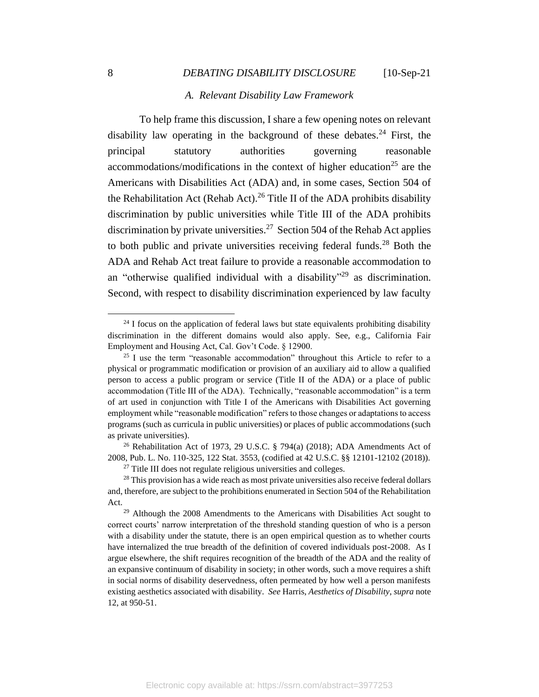#### *A. Relevant Disability Law Framework*

<span id="page-8-0"></span>To help frame this discussion, I share a few opening notes on relevant disability law operating in the background of these debates.<sup>24</sup> First, the principal statutory authorities governing reasonable accommodations/modifications in the context of higher education<sup>25</sup> are the Americans with Disabilities Act (ADA) and, in some cases, Section 504 of the Rehabilitation Act (Rehab Act).<sup>26</sup> Title II of the ADA prohibits disability discrimination by public universities while Title III of the ADA prohibits discrimination by private universities.<sup>27</sup> Section 504 of the Rehab Act applies to both public and private universities receiving federal funds.<sup>28</sup> Both the ADA and Rehab Act treat failure to provide a reasonable accommodation to an "otherwise qualified individual with a disability"<sup>29</sup> as discrimination. Second, with respect to disability discrimination experienced by law faculty

<sup>26</sup> Rehabilitation Act of 1973, 29 U.S.C. § 794(a) (2018); ADA Amendments Act of 2008, Pub. L. No. 110-325, 122 Stat. 3553, (codified at 42 U.S.C. §§ 12101-12102 (2018)).

<sup>&</sup>lt;sup>24</sup> I focus on the application of federal laws but state equivalents prohibiting disability discrimination in the different domains would also apply. See, e.g., California Fair Employment and Housing Act, Cal. Gov't Code. § 12900.

 $25$  I use the term "reasonable accommodation" throughout this Article to refer to a physical or programmatic modification or provision of an auxiliary aid to allow a qualified person to access a public program or service (Title II of the ADA) or a place of public accommodation (Title III of the ADA). Technically, "reasonable accommodation" is a term of art used in conjunction with Title I of the Americans with Disabilities Act governing employment while "reasonable modification" refers to those changes or adaptations to access programs (such as curricula in public universities) or places of public accommodations (such as private universities).

<sup>&</sup>lt;sup>27</sup> Title III does not regulate religious universities and colleges.

<sup>&</sup>lt;sup>28</sup> This provision has a wide reach as most private universities also receive federal dollars and, therefore, are subject to the prohibitions enumerated in Section 504 of the Rehabilitation Act.

 $29$  Although the 2008 Amendments to the Americans with Disabilities Act sought to correct courts' narrow interpretation of the threshold standing question of who is a person with a disability under the statute, there is an open empirical question as to whether courts have internalized the true breadth of the definition of covered individuals post-2008. As I argue elsewhere, the shift requires recognition of the breadth of the ADA and the reality of an expansive continuum of disability in society; in other words, such a move requires a shift in social norms of disability deservedness, often permeated by how well a person manifests existing aesthetics associated with disability. *See* Harris, *Aesthetics of Disability*, *supra* note 12, at 950-51.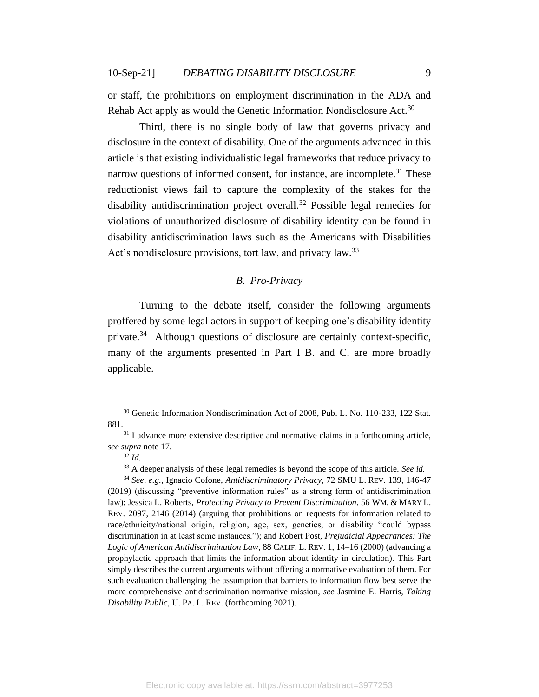or staff, the prohibitions on employment discrimination in the ADA and Rehab Act apply as would the Genetic Information Nondisclosure Act.<sup>30</sup>

Third, there is no single body of law that governs privacy and disclosure in the context of disability. One of the arguments advanced in this article is that existing individualistic legal frameworks that reduce privacy to narrow questions of informed consent, for instance, are incomplete.<sup>31</sup> These reductionist views fail to capture the complexity of the stakes for the disability antidiscrimination project overall.<sup>32</sup> Possible legal remedies for violations of unauthorized disclosure of disability identity can be found in disability antidiscrimination laws such as the Americans with Disabilities Act's nondisclosure provisions, tort law, and privacy law.<sup>33</sup>

## *B. Pro-Privacy*

<span id="page-9-0"></span>Turning to the debate itself, consider the following arguments proffered by some legal actors in support of keeping one's disability identity private.<sup>34</sup> Although questions of disclosure are certainly context-specific, many of the arguments presented in Part I B. and C. are more broadly applicable.

<sup>30</sup> Genetic Information Nondiscrimination Act of 2008, Pub. L. No. 110-233, 122 Stat. 881.

<sup>&</sup>lt;sup>31</sup> I advance more extensive descriptive and normative claims in a forthcoming article, *see supra* note 17.

<sup>32</sup> *Id.*

<sup>33</sup> A deeper analysis of these legal remedies is beyond the scope of this article. *See id.*

<sup>34</sup> *See, e.g.,* Ignacio Cofone, *Antidiscriminatory Privacy*, 72 SMU L. REV. 139, 146-47 (2019) (discussing "preventive information rules" as a strong form of antidiscrimination law); Jessica L. Roberts, *Protecting Privacy to Prevent Discrimination*, 56 WM. & MARY L. REV. 2097, 2146 (2014) (arguing that prohibitions on requests for information related to race/ethnicity/national origin, religion, age, sex, genetics, or disability "could bypass discrimination in at least some instances."); and Robert Post, *Prejudicial Appearances: The Logic of American Antidiscrimination Law*, 88 CALIF. L. REV. 1, 14–16 (2000) (advancing a prophylactic approach that limits the information about identity in circulation). This Part simply describes the current arguments without offering a normative evaluation of them. For such evaluation challenging the assumption that barriers to information flow best serve the more comprehensive antidiscrimination normative mission, *see* Jasmine E. Harris, *Taking Disability Public*, U. PA. L. REV. (forthcoming 2021).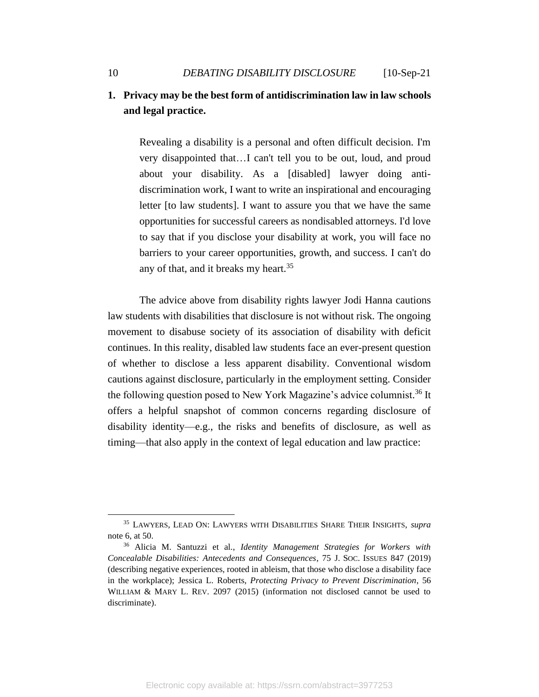## **1. Privacy may be the best form of antidiscrimination law in law schools and legal practice.**

Revealing a disability is a personal and often difficult decision. I'm very disappointed that…I can't tell you to be out, loud, and proud about your disability. As a [disabled] lawyer doing antidiscrimination work, I want to write an inspirational and encouraging letter [to law students]. I want to assure you that we have the same opportunities for successful careers as nondisabled attorneys. I'd love to say that if you disclose your disability at work, you will face no barriers to your career opportunities, growth, and success. I can't do any of that, and it breaks my heart.<sup>35</sup>

The advice above from disability rights lawyer Jodi Hanna cautions law students with disabilities that disclosure is not without risk. The ongoing movement to disabuse society of its association of disability with deficit continues. In this reality, disabled law students face an ever-present question of whether to disclose a less apparent disability. Conventional wisdom cautions against disclosure, particularly in the employment setting. Consider the following question posed to New York Magazine's advice columnist.<sup>36</sup> It offers a helpful snapshot of common concerns regarding disclosure of disability identity—e.g., the risks and benefits of disclosure, as well as timing—that also apply in the context of legal education and law practice:

<sup>35</sup> LAWYERS, LEAD ON: LAWYERS WITH DISABILITIES SHARE THEIR INSIGHTS, *supra*  note 6, at 50.

<sup>36</sup> Alicia M. Santuzzi et al., *Identity Management Strategies for Workers with Concealable Disabilities: Antecedents and Consequences*, 75 J. SOC. ISSUES 847 (2019) (describing negative experiences, rooted in ableism, that those who disclose a disability face in the workplace); Jessica L. Roberts, *Protecting Privacy to Prevent Discrimination*, 56 WILLIAM & MARY L. REV. 2097 (2015) (information not disclosed cannot be used to discriminate).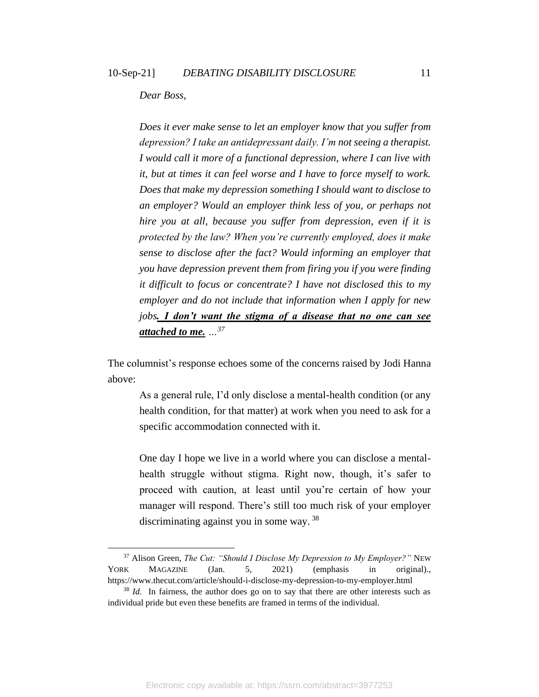### *Dear Boss,*

*Does it ever make sense to let an employer know that you suffer from depression? I take an antidepressant daily. I'm not seeing a therapist. I would call it more of a functional depression, where I can live with it, but at times it can feel worse and I have to force myself to work. Does that make my depression something I should want to disclose to an employer? Would an employer think less of you, or perhaps not hire you at all, because you suffer from depression, even if it is protected by the law? When you're currently employed, does it make sense to disclose after the fact? Would informing an employer that you have depression prevent them from firing you if you were finding it difficult to focus or concentrate? I have not disclosed this to my employer and do not include that information when I apply for new jobs. I don't want the stigma of a disease that no one can see attached to me. …<sup>37</sup>*

The columnist's response echoes some of the concerns raised by Jodi Hanna above:

As a general rule, I'd only disclose a mental-health condition (or any health condition, for that matter) at work when you need to ask for a specific accommodation connected with it.

One day I hope we live in a world where you can disclose a mentalhealth struggle without stigma. Right now, though, it's safer to proceed with caution, at least until you're certain of how your manager will respond. There's still too much risk of your employer discriminating against you in some way. <sup>38</sup>

<sup>37</sup> Alison Green, *The Cut: "Should I Disclose My Depression to My Employer?"* NEW YORK MAGAZINE (Jan. 5, 2021) (emphasis in original)., https://www.thecut.com/article/should-i-disclose-my-depression-to-my-employer.html

<sup>&</sup>lt;sup>38</sup> *Id.* In fairness, the author does go on to say that there are other interests such as individual pride but even these benefits are framed in terms of the individual.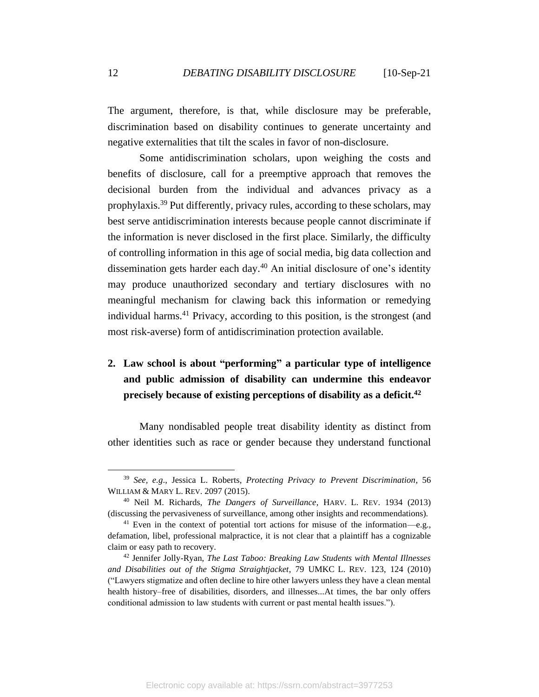The argument, therefore, is that, while disclosure may be preferable, discrimination based on disability continues to generate uncertainty and negative externalities that tilt the scales in favor of non-disclosure.

Some antidiscrimination scholars, upon weighing the costs and benefits of disclosure, call for a preemptive approach that removes the decisional burden from the individual and advances privacy as a prophylaxis. <sup>39</sup> Put differently, privacy rules, according to these scholars, may best serve antidiscrimination interests because people cannot discriminate if the information is never disclosed in the first place. Similarly, the difficulty of controlling information in this age of social media, big data collection and dissemination gets harder each day. <sup>40</sup> An initial disclosure of one's identity may produce unauthorized secondary and tertiary disclosures with no meaningful mechanism for clawing back this information or remedying individual harms.<sup>41</sup> Privacy, according to this position, is the strongest (and most risk-averse) form of antidiscrimination protection available.

# **2. Law school is about "performing" a particular type of intelligence and public admission of disability can undermine this endeavor precisely because of existing perceptions of disability as a deficit. 42**

Many nondisabled people treat disability identity as distinct from other identities such as race or gender because they understand functional

<sup>39</sup> *See, e.g*., Jessica L. Roberts, *Protecting Privacy to Prevent Discrimination*, 56 WILLIAM & MARY L. REV. 2097 (2015).

<sup>40</sup> Neil M. Richards, *The Dangers of Surveillance*, HARV. L. REV. 1934 (2013) (discussing the pervasiveness of surveillance, among other insights and recommendations).

<sup>&</sup>lt;sup>41</sup> Even in the context of potential tort actions for misuse of the information—e.g., defamation, libel, professional malpractice, it is not clear that a plaintiff has a cognizable claim or easy path to recovery.

<sup>42</sup> Jennifer Jolly-Ryan, *The Last Taboo: Breaking Law Students with Mental Illnesses and Disabilities out of the Stigma Straightjacket*, 79 UMKC L. REV. 123, 124 (2010) ("Lawyers stigmatize and often decline to hire other lawyers unless they have a clean mental health history–free of disabilities, disorders, and illnesses...At times, the bar only offers conditional admission to law students with current or past mental health issues.").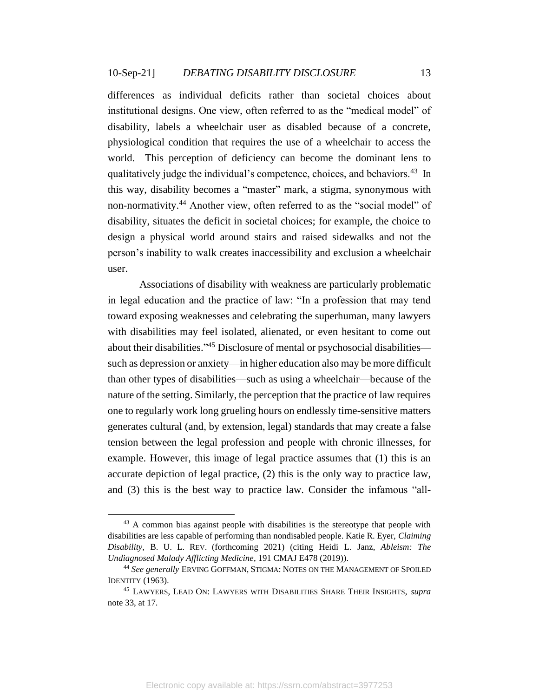differences as individual deficits rather than societal choices about institutional designs. One view, often referred to as the "medical model" of disability, labels a wheelchair user as disabled because of a concrete, physiological condition that requires the use of a wheelchair to access the world. This perception of deficiency can become the dominant lens to qualitatively judge the individual's competence, choices, and behaviors.<sup>43</sup> In this way, disability becomes a "master" mark, a stigma, synonymous with non-normativity.<sup>44</sup> Another view, often referred to as the "social model" of disability, situates the deficit in societal choices; for example, the choice to design a physical world around stairs and raised sidewalks and not the person's inability to walk creates inaccessibility and exclusion a wheelchair user.

Associations of disability with weakness are particularly problematic in legal education and the practice of law: "In a profession that may tend toward exposing weaknesses and celebrating the superhuman, many lawyers with disabilities may feel isolated, alienated, or even hesitant to come out about their disabilities."<sup>45</sup> Disclosure of mental or psychosocial disabilities such as depression or anxiety—in higher education also may be more difficult than other types of disabilities—such as using a wheelchair—because of the nature of the setting. Similarly, the perception that the practice of law requires one to regularly work long grueling hours on endlessly time-sensitive matters generates cultural (and, by extension, legal) standards that may create a false tension between the legal profession and people with chronic illnesses, for example. However, this image of legal practice assumes that (1) this is an accurate depiction of legal practice, (2) this is the only way to practice law, and (3) this is the best way to practice law. Consider the infamous "all-

<sup>&</sup>lt;sup>43</sup> A common bias against people with disabilities is the stereotype that people with disabilities are less capable of performing than nondisabled people. Katie R. Eyer, *Claiming Disability*, B. U. L. REV. (forthcoming 2021) (citing Heidi L. Janz, *Ableism: The Undiagnosed Malady Afflicting Medicine*, 191 CMAJ E478 (2019)).

<sup>44</sup> *See generally* ERVING GOFFMAN, STIGMA: NOTES ON THE MANAGEMENT OF SPOILED IDENTITY (1963).

<sup>45</sup> LAWYERS, LEAD ON: LAWYERS WITH DISABILITIES SHARE THEIR INSIGHTS, *supra*  note 33, at 17.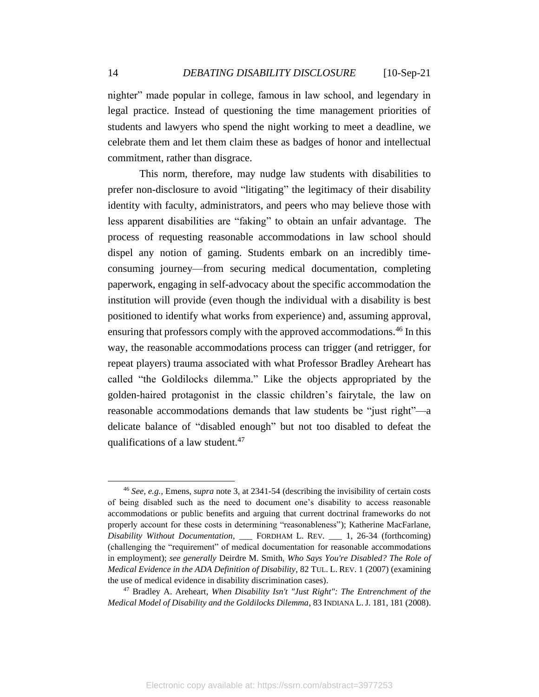nighter" made popular in college, famous in law school, and legendary in legal practice. Instead of questioning the time management priorities of students and lawyers who spend the night working to meet a deadline, we celebrate them and let them claim these as badges of honor and intellectual commitment, rather than disgrace.

This norm, therefore, may nudge law students with disabilities to prefer non-disclosure to avoid "litigating" the legitimacy of their disability identity with faculty, administrators, and peers who may believe those with less apparent disabilities are "faking" to obtain an unfair advantage. The process of requesting reasonable accommodations in law school should dispel any notion of gaming. Students embark on an incredibly timeconsuming journey—from securing medical documentation, completing paperwork, engaging in self-advocacy about the specific accommodation the institution will provide (even though the individual with a disability is best positioned to identify what works from experience) and, assuming approval, ensuring that professors comply with the approved accommodations. <sup>46</sup> In this way, the reasonable accommodations process can trigger (and retrigger, for repeat players) trauma associated with what Professor Bradley Areheart has called "the Goldilocks dilemma." Like the objects appropriated by the golden-haired protagonist in the classic children's fairytale, the law on reasonable accommodations demands that law students be "just right"—a delicate balance of "disabled enough" but not too disabled to defeat the qualifications of a law student. $47$ 

<sup>46</sup> *See, e.g.,* Emens, *supra* note 3, at 2341-54 (describing the invisibility of certain costs of being disabled such as the need to document one's disability to access reasonable accommodations or public benefits and arguing that current doctrinal frameworks do not properly account for these costs in determining "reasonableness"); Katherine MacFarlane, *Disability Without Documentation*, \_\_\_ FORDHAM L. REV. \_\_\_ 1, 26-34 (forthcoming) (challenging the "requirement" of medical documentation for reasonable accommodations in employment); *see generally* Deirdre M. Smith, *Who Says You're Disabled? The Role of Medical Evidence in the ADA Definition of Disability*, 82 TUL. L. REV. 1 (2007) (examining the use of medical evidence in disability discrimination cases).

<sup>47</sup> Bradley A. Areheart, *When Disability Isn't "Just Right": The Entrenchment of the Medical Model of Disability and the Goldilocks Dilemma*, 83 INDIANA L.J. 181, 181 (2008).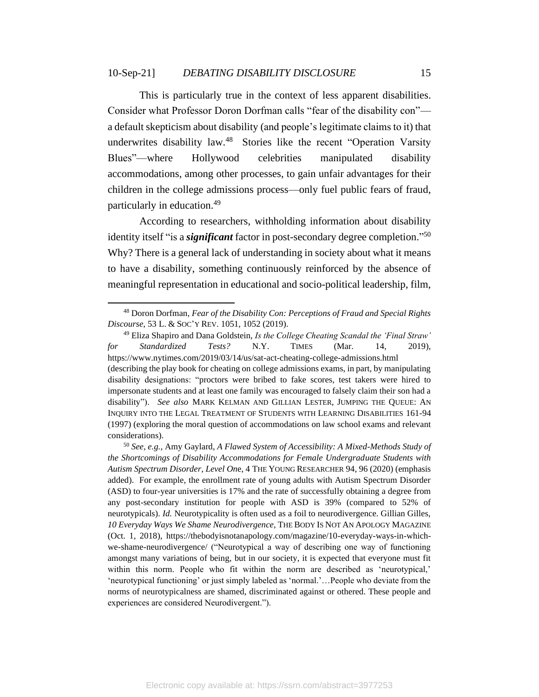This is particularly true in the context of less apparent disabilities. Consider what Professor Doron Dorfman calls "fear of the disability con" a default skepticism about disability (and people's legitimate claims to it) that underwrites disability law.<sup>48</sup> Stories like the recent "Operation Varsity" Blues"—where Hollywood celebrities manipulated disability accommodations, among other processes, to gain unfair advantages for their children in the college admissions process—only fuel public fears of fraud, particularly in education. 49

According to researchers, withholding information about disability identity itself "is a *significant* factor in post-secondary degree completion." 50 Why? There is a general lack of understanding in society about what it means to have a disability, something continuously reinforced by the absence of meaningful representation in educational and socio-political leadership, film,

<sup>48</sup> Doron Dorfman, *Fear of the Disability Con: Perceptions of Fraud and Special Rights Discourse*, 53 L. & SOC'Y REV. 1051, 1052 (2019).

<sup>49</sup> Eliza Shapiro and Dana Goldstein, *Is the College Cheating Scandal the 'Final Straw' for Standardized Tests?* N.Y. TIMES (Mar. 14, 2019), https://www.nytimes.com/2019/03/14/us/sat-act-cheating-college-admissions.html (describing the play book for cheating on college admissions exams, in part, by manipulating disability designations: "proctors were bribed to fake scores, test takers were hired to impersonate students and at least one family was encouraged to falsely claim their son had a disability"). *See also* MARK KELMAN AND GILLIAN LESTER, JUMPING THE QUEUE: AN INQUIRY INTO THE LEGAL TREATMENT OF STUDENTS WITH LEARNING DISABILITIES 161-94 (1997) (exploring the moral question of accommodations on law school exams and relevant considerations).

<sup>50</sup> *See, e.g.,* Amy Gaylard, *A Flawed System of Accessibility: A Mixed-Methods Study of the Shortcomings of Disability Accommodations for Female Undergraduate Students with Autism Spectrum Disorder*, *Level On*e, 4 THE YOUNG RESEARCHER 94, 96 (2020) (emphasis added). For example, the enrollment rate of young adults with Autism Spectrum Disorder (ASD) to four-year universities is 17% and the rate of successfully obtaining a degree from any post-secondary institution for people with ASD is 39% (compared to 52% of neurotypicals). *Id.* Neurotypicality is often used as a foil to neurodivergence. Gillian Gilles, *10 Everyday Ways We Shame Neurodivergence*, THE BODY IS NOT AN APOLOGY MAGAZINE (Oct. 1, 2018), https://thebodyisnotanapology.com/magazine/10-everyday-ways-in-whichwe-shame-neurodivergence/ ("Neurotypical a way of describing one way of functioning amongst many variations of being, but in our society, it is expected that everyone must fit within this norm. People who fit within the norm are described as 'neurotypical,' 'neurotypical functioning' or just simply labeled as 'normal.'…People who deviate from the norms of neurotypicalness are shamed, discriminated against or othered. These people and experiences are considered Neurodivergent.").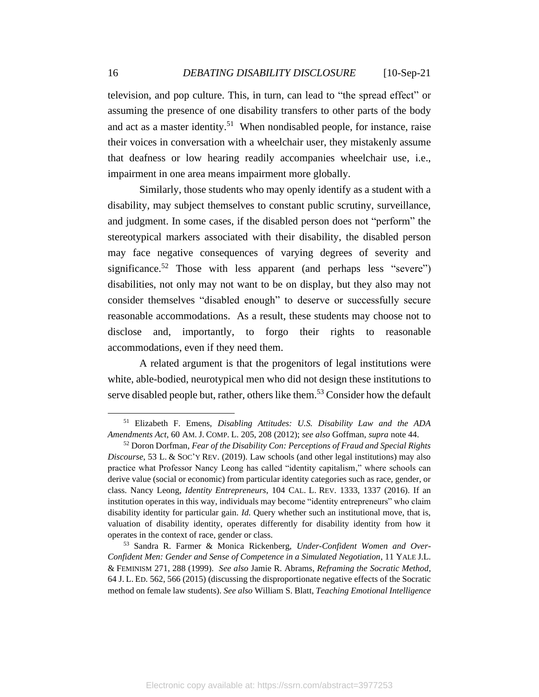television, and pop culture. This, in turn, can lead to "the spread effect" or assuming the presence of one disability transfers to other parts of the body and act as a master identity.<sup>51</sup> When nondisabled people, for instance, raise their voices in conversation with a wheelchair user, they mistakenly assume that deafness or low hearing readily accompanies wheelchair use, i.e., impairment in one area means impairment more globally.

Similarly, those students who may openly identify as a student with a disability, may subject themselves to constant public scrutiny, surveillance, and judgment. In some cases, if the disabled person does not "perform" the stereotypical markers associated with their disability, the disabled person may face negative consequences of varying degrees of severity and significance.<sup>52</sup> Those with less apparent (and perhaps less "severe") disabilities, not only may not want to be on display, but they also may not consider themselves "disabled enough" to deserve or successfully secure reasonable accommodations. As a result, these students may choose not to disclose and, importantly, to forgo their rights to reasonable accommodations, even if they need them.

A related argument is that the progenitors of legal institutions were white, able-bodied, neurotypical men who did not design these institutions to serve disabled people but, rather, others like them.<sup>53</sup> Consider how the default

<sup>51</sup> Elizabeth F. Emens, *Disabling Attitudes: U.S. Disability Law and the ADA Amendments Act*, 60 AM. J. COMP. L. 205, 208 (2012); *see also* Goffman, *supra* note 44.

<sup>52</sup> Doron Dorfman, *Fear of the Disability Con: Perceptions of Fraud and Special Rights Discourse*, 53 L. & SOC'Y REV. (2019). Law schools (and other legal institutions) may also practice what Professor Nancy Leong has called "identity capitalism," where schools can derive value (social or economic) from particular identity categories such as race, gender, or class. Nancy Leong, *Identity Entrepreneurs*, 104 CAL. L. REV. 1333, 1337 (2016). If an institution operates in this way, individuals may become "identity entrepreneurs" who claim disability identity for particular gain. *Id.* Query whether such an institutional move, that is, valuation of disability identity, operates differently for disability identity from how it operates in the context of race, gender or class.

<sup>53</sup> Sandra R. Farmer & Monica Rickenberg, *Under-Confident Women and Over-Confident Men: Gender and Sense of Competence in a Simulated Negotiation*, 11 YALE J.L. & FEMINISM 271, 288 (1999). *See also* Jamie R. Abrams, *Reframing the Socratic Method*, 64 J. L. ED. 562, 566 (2015) (discussing the disproportionate negative effects of the Socratic method on female law students). *See also* William S. Blatt, *Teaching Emotional Intelligence*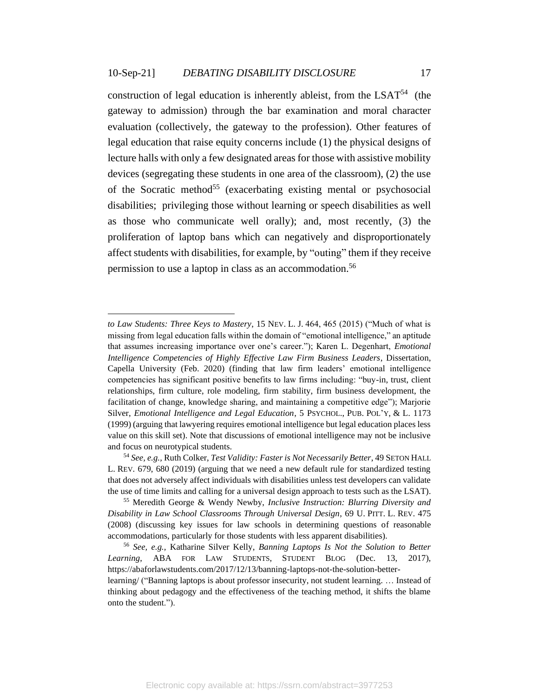construction of legal education is inherently ableist, from the  $LSAT<sup>54</sup>$  (the gateway to admission) through the bar examination and moral character evaluation (collectively, the gateway to the profession). Other features of legal education that raise equity concerns include (1) the physical designs of lecture halls with only a few designated areas for those with assistive mobility devices (segregating these students in one area of the classroom), (2) the use of the Socratic method<sup>55</sup> (exacerbating existing mental or psychosocial disabilities; privileging those without learning or speech disabilities as well as those who communicate well orally); and, most recently, (3) the proliferation of laptop bans which can negatively and disproportionately affect students with disabilities, for example, by "outing" them if they receive permission to use a laptop in class as an accommodation. 56

*to Law Students: Three Keys to Mastery*, 15 NEV. L. J. 464, 465 (2015) ("Much of what is missing from legal education falls within the domain of "emotional intelligence," an aptitude that assumes increasing importance over one's career."); Karen L. Degenhart, *Emotional Intelligence Competencies of Highly Effective Law Firm Business Leaders*, Dissertation, Capella University (Feb. 2020) (finding that law firm leaders' emotional intelligence competencies has significant positive benefits to law firms including: "buy-in, trust, client relationships, firm culture, role modeling, firm stability, firm business development, the facilitation of change, knowledge sharing, and maintaining a competitive edge"); Marjorie Silver, *Emotional Intelligence and Legal Education*, 5 PSYCHOL., PUB. POL'Y, & L. 1173 (1999) (arguing that lawyering requires emotional intelligence but legal education places less value on this skill set). Note that discussions of emotional intelligence may not be inclusive and focus on neurotypical students.

<sup>54</sup> *See, e.g.,* Ruth Colker, *Test Validity: Faster is Not Necessarily Better*, 49 SETON HALL L. REV. 679, 680 (2019) (arguing that we need a new default rule for standardized testing that does not adversely affect individuals with disabilities unless test developers can validate the use of time limits and calling for a universal design approach to tests such as the LSAT).

<sup>55</sup> Meredith George & Wendy Newby, *Inclusive Instruction: Blurring Diversity and Disability in Law School Classrooms Through Universal Design*, 69 U. PITT. L. REV. 475 (2008) (discussing key issues for law schools in determining questions of reasonable accommodations, particularly for those students with less apparent disabilities).

<sup>56</sup> *See, e.g.,* Katharine Silver Kelly, *Banning Laptops Is Not the Solution to Better Learning*, ABA FOR LAW STUDENTS, STUDENT BLOG (Dec. 13, 2017), https://abaforlawstudents.com/2017/12/13/banning-laptops-not-the-solution-better-

learning/ ("Banning laptops is about professor insecurity, not student learning. … Instead of thinking about pedagogy and the effectiveness of the teaching method, it shifts the blame onto the student.").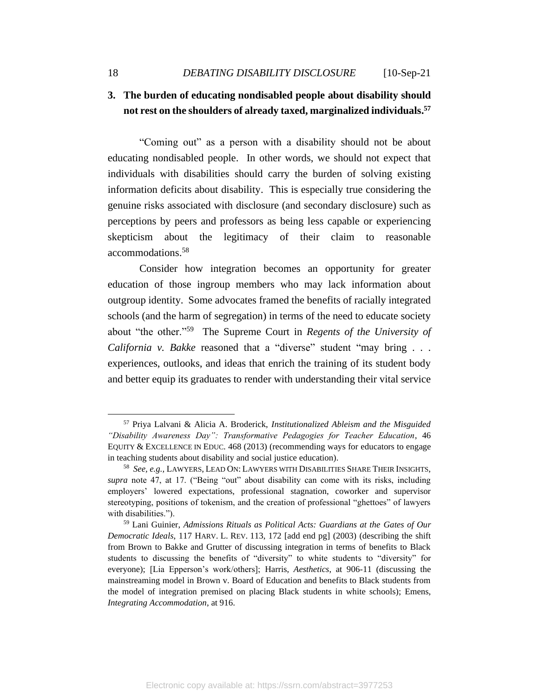## **3. The burden of educating nondisabled people about disability should not rest on the shoulders of already taxed, marginalized individuals. 57**

"Coming out" as a person with a disability should not be about educating nondisabled people. In other words, we should not expect that individuals with disabilities should carry the burden of solving existing information deficits about disability. This is especially true considering the genuine risks associated with disclosure (and secondary disclosure) such as perceptions by peers and professors as being less capable or experiencing skepticism about the legitimacy of their claim to reasonable accommodations. 58

Consider how integration becomes an opportunity for greater education of those ingroup members who may lack information about outgroup identity. Some advocates framed the benefits of racially integrated schools (and the harm of segregation) in terms of the need to educate society about "the other."<sup>59</sup> The Supreme Court in *Regents of the University of California v. Bakke* reasoned that a "diverse" student "may bring . . . experiences, outlooks, and ideas that enrich the training of its student body and better equip its graduates to render with understanding their vital service

<sup>57</sup> Priya Lalvani & Alicia A. Broderick, *Institutionalized Ableism and the Misguided "Disability Awareness Day": Transformative Pedagogies for Teacher Education*, 46 EQUITY & EXCELLENCE IN EDUC. 468 (2013) (recommending ways for educators to engage in teaching students about disability and social justice education).

<sup>58</sup> *See, e.g.,* LAWYERS, LEAD ON: LAWYERS WITH DISABILITIES SHARE THEIR INSIGHTS, *supra* note 47, at 17. ("Being "out" about disability can come with its risks, including employers' lowered expectations, professional stagnation, coworker and supervisor stereotyping, positions of tokenism, and the creation of professional "ghettoes" of lawyers with disabilities.").

<sup>59</sup> Lani Guinier, *Admissions Rituals as Political Acts: Guardians at the Gates of Our Democratic Ideals*, 117 HARV. L. REV. 113, 172 [add end pg] (2003) (describing the shift from Brown to Bakke and Grutter of discussing integration in terms of benefits to Black students to discussing the benefits of "diversity" to white students to "diversity" for everyone); [Lia Epperson's work/others]; Harris, *Aesthetics*, at 906-11 (discussing the mainstreaming model in Brown v. Board of Education and benefits to Black students from the model of integration premised on placing Black students in white schools); Emens, *Integrating Accommodation*, at 916.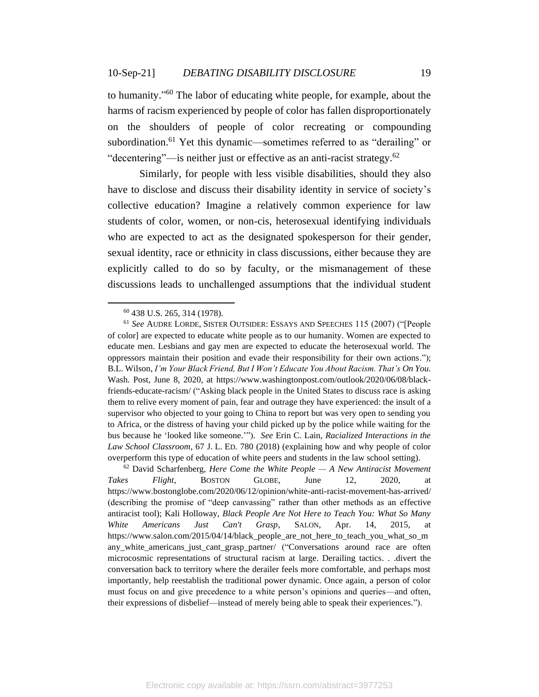to humanity."<sup>60</sup> The labor of educating white people, for example, about the harms of racism experienced by people of color has fallen disproportionately on the shoulders of people of color recreating or compounding subordination.<sup>61</sup> Yet this dynamic—sometimes referred to as "derailing" or "decentering"—is neither just or effective as an anti-racist strategy.<sup>62</sup>

Similarly, for people with less visible disabilities, should they also have to disclose and discuss their disability identity in service of society's collective education? Imagine a relatively common experience for law students of color, women, or non-cis, heterosexual identifying individuals who are expected to act as the designated spokesperson for their gender, sexual identity, race or ethnicity in class discussions, either because they are explicitly called to do so by faculty, or the mismanagement of these discussions leads to unchallenged assumptions that the individual student

<sup>60</sup> 438 U.S. 265, 314 (1978).

<sup>61</sup> *See* AUDRE LORDE, SISTER OUTSIDER: ESSAYS AND SPEECHES 115 (2007) ("[People of color] are expected to educate white people as to our humanity. Women are expected to educate men. Lesbians and gay men are expected to educate the heterosexual world. The oppressors maintain their position and evade their responsibility for their own actions."); B.L. Wilson, *I'm Your Black Friend, But I Won't Educate You About Racism. That's On You.* Wash. Post, June 8, 2020, at https://www.washingtonpost.com/outlook/2020/06/08/blackfriends-educate-racism/ ("Asking black people in the United States to discuss race is asking them to relive every moment of pain, fear and outrage they have experienced: the insult of a supervisor who objected to your going to China to report but was very open to sending you to Africa, or the distress of having your child picked up by the police while waiting for the bus because he 'looked like someone.'"). *See* Erin C. Lain, *Racialized Interactions in the Law School Classroom*, 67 J. L. ED. 780 (2018) (explaining how and why people of color overperform this type of education of white peers and students in the law school setting).

<sup>62</sup> David Scharfenberg, *Here Come the White People — A New Antiracist Movement Takes Flight*, BOSTON GLOBE, June 12, 2020, at https://www.bostonglobe.com/2020/06/12/opinion/white-anti-racist-movement-has-arrived/ (describing the promise of "deep canvassing" rather than other methods as an effective antiracist tool); Kali Holloway, *Black People Are Not Here to Teach You: What So Many White Americans Just Can't Grasp*, SALON, Apr. 14, 2015, at https://www.salon.com/2015/04/14/black\_people\_are\_not\_here\_to\_teach\_you\_what\_so\_m any\_white\_americans\_just\_cant\_grasp\_partner/ ("Conversations around race are often microcosmic representations of structural racism at large. Derailing tactics. . .divert the conversation back to territory where the derailer feels more comfortable, and perhaps most importantly, help reestablish the traditional power dynamic. Once again, a person of color must focus on and give precedence to a white person's opinions and queries—and often, their expressions of disbelief—instead of merely being able to speak their experiences.").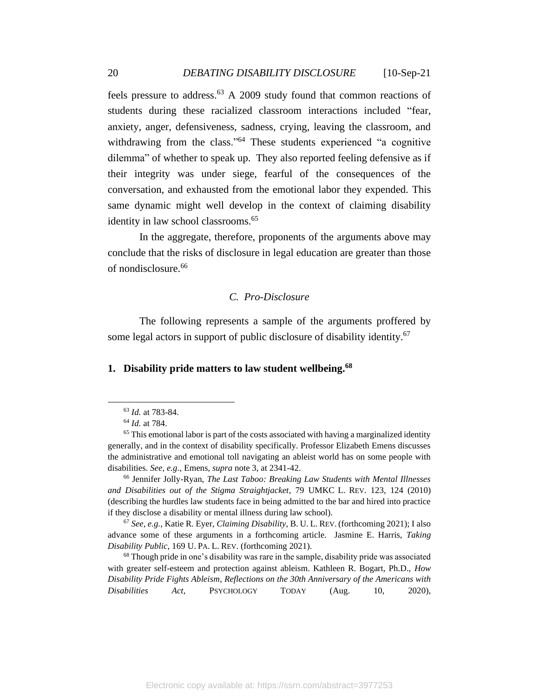feels pressure to address.<sup>63</sup> A 2009 study found that common reactions of students during these racialized classroom interactions included "fear, anxiety, anger, defensiveness, sadness, crying, leaving the classroom, and withdrawing from the class."<sup>64</sup> These students experienced "a cognitive dilemma" of whether to speak up. They also reported feeling defensive as if their integrity was under siege, fearful of the consequences of the conversation, and exhausted from the emotional labor they expended. This same dynamic might well develop in the context of claiming disability identity in law school classrooms.<sup>65</sup>

In the aggregate, therefore, proponents of the arguments above may conclude that the risks of disclosure in legal education are greater than those of nondisclosure.<sup>66</sup>

## *C. Pro-Disclosure*

<span id="page-20-0"></span>The following represents a sample of the arguments proffered by some legal actors in support of public disclosure of disability identity.<sup>67</sup>

## **1. Disability pride matters to law student wellbeing. 68**

<sup>66</sup> Jennifer Jolly-Ryan, *The Last Taboo: Breaking Law Students with Mental Illnesses and Disabilities out of the Stigma Straightjacket*, 79 UMKC L. REV. 123, 124 (2010) (describing the hurdles law students face in being admitted to the bar and hired into practice if they disclose a disability or mental illness during law school).

<sup>67</sup> *See, e.g.,* Katie R. Eyer, *Claiming Disability*, B. U. L. REV. (forthcoming 2021); I also advance some of these arguments in a forthcoming article. Jasmine E. Harris, *Taking Disability Public*, 169 U. PA. L. REV. (forthcoming 2021).

 $68$  Though pride in one's disability was rare in the sample, disability pride was associated with greater self-esteem and protection against ableism. Kathleen R. Bogart, Ph.D., *How Disability Pride Fights Ableism*, *Reflections on the 30th Anniversary of the Americans with Disabilities Act*, PSYCHOLOGY TODAY (Aug. 10, 2020),

<sup>63</sup> *Id.* at 783-84.

<sup>64</sup> *Id.* at 784.

 $<sup>65</sup>$  This emotional labor is part of the costs associated with having a marginalized identity</sup> generally, and in the context of disability specifically. Professor Elizabeth Emens discusses the administrative and emotional toll navigating an ableist world has on some people with disabilities. *See, e.g.,* Emens, *supra* note 3, at 2341-42.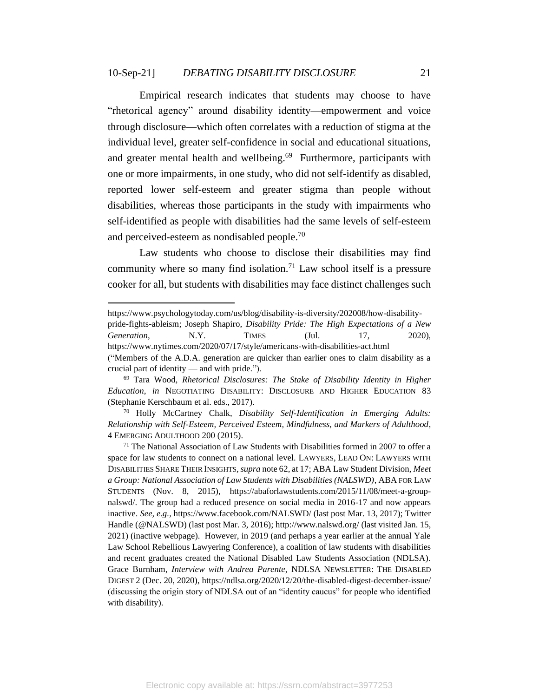Empirical research indicates that students may choose to have "rhetorical agency" around disability identity—empowerment and voice through disclosure—which often correlates with a reduction of stigma at the individual level, greater self-confidence in social and educational situations, and greater mental health and wellbeing.<sup>69</sup> Furthermore, participants with one or more impairments, in one study, who did not self-identify as disabled, reported lower self-esteem and greater stigma than people without disabilities, whereas those participants in the study with impairments who self-identified as people with disabilities had the same levels of self-esteem and perceived-esteem as nondisabled people.<sup>70</sup>

Law students who choose to disclose their disabilities may find community where so many find isolation.<sup>71</sup> Law school itself is a pressure cooker for all, but students with disabilities may face distinct challenges such

crucial part of identity — and with pride.").

https://www.psychologytoday.com/us/blog/disability-is-diversity/202008/how-disability-

pride-fights-ableism; Joseph Shapiro, *Disability Pride: The High Expectations of a New Generation*, N.Y. TIMES (Jul. 17, 2020), https://www.nytimes.com/2020/07/17/style/americans-with-disabilities-act.html ("Members of the A.D.A. generation are quicker than earlier ones to claim disability as a

<sup>69</sup> Tara Wood, *Rhetorical Disclosures: The Stake of Disability Identity in Higher Education*, *in* NEGOTIATING DISABILITY: DISCLOSURE AND HIGHER EDUCATION 83 (Stephanie Kerschbaum et al. eds., 2017).

<sup>70</sup> Holly McCartney Chalk, *Disability Self-Identification in Emerging Adults: Relationship with Self-Esteem, Perceived Esteem, Mindfulness, and Markers of Adulthood*, 4 EMERGING ADULTHOOD 200 (2015).

 $71$  The National Association of Law Students with Disabilities formed in 2007 to offer a space for law students to connect on a national level. LAWYERS, LEAD ON: LAWYERS WITH DISABILITIES SHARE THEIR INSIGHTS, *supra* note 62, at 17; ABA Law Student Division, *Meet a Group: National Association of Law Students with Disabilities (NALSWD)*, ABA FOR LAW STUDENTS (Nov. 8, 2015), https://abaforlawstudents.com/2015/11/08/meet-a-groupnalswd/. The group had a reduced presence on social media in 2016-17 and now appears inactive. *See, e.g.,* https://www.facebook.com/NALSWD/ (last post Mar. 13, 2017); Twitter Handle (@NALSWD) (last post Mar. 3, 2016); http://www.nalswd.org/ (last visited Jan. 15, 2021) (inactive webpage). However, in 2019 (and perhaps a year earlier at the annual Yale Law School Rebellious Lawyering Conference), a coalition of law students with disabilities and recent graduates created the National Disabled Law Students Association (NDLSA). Grace Burnham, *Interview with Andrea Parente*, NDLSA NEWSLETTER: THE DISABLED DIGEST 2 (Dec. 20, 2020), https://ndlsa.org/2020/12/20/the-disabled-digest-december-issue/ (discussing the origin story of NDLSA out of an "identity caucus" for people who identified with disability).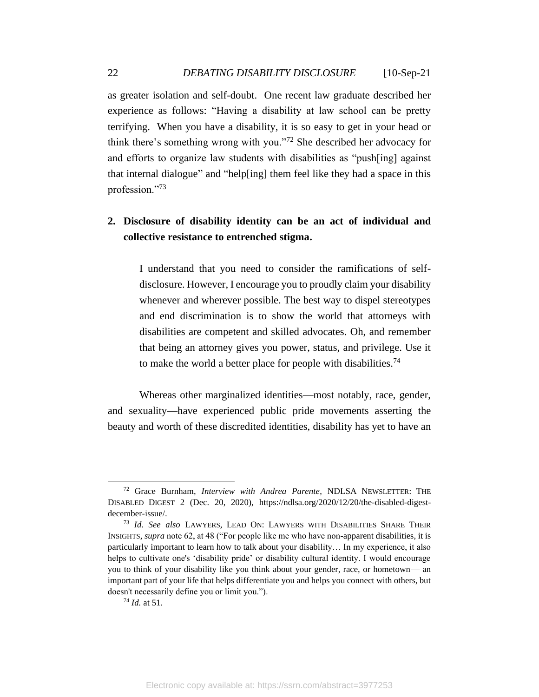as greater isolation and self-doubt. One recent law graduate described her experience as follows: "Having a disability at law school can be pretty terrifying. When you have a disability, it is so easy to get in your head or think there's something wrong with you."<sup>72</sup> She described her advocacy for and efforts to organize law students with disabilities as "push[ing] against that internal dialogue" and "help[ing] them feel like they had a space in this profession."<sup>73</sup>

## **2. Disclosure of disability identity can be an act of individual and collective resistance to entrenched stigma.**

I understand that you need to consider the ramifications of selfdisclosure. However, I encourage you to proudly claim your disability whenever and wherever possible. The best way to dispel stereotypes and end discrimination is to show the world that attorneys with disabilities are competent and skilled advocates. Oh, and remember that being an attorney gives you power, status, and privilege. Use it to make the world a better place for people with disabilities.<sup>74</sup>

Whereas other marginalized identities—most notably, race, gender, and sexuality—have experienced public pride movements asserting the beauty and worth of these discredited identities, disability has yet to have an

<sup>72</sup> Grace Burnham, *Interview with Andrea Parente*, NDLSA NEWSLETTER: THE DISABLED DIGEST 2 (Dec. 20, 2020), https://ndlsa.org/2020/12/20/the-disabled-digestdecember-issue/.

<sup>73</sup> *Id. See also* LAWYERS, LEAD ON: LAWYERS WITH DISABILITIES SHARE THEIR INSIGHTS, *supra* note 62, at 48 ("For people like me who have non-apparent disabilities, it is particularly important to learn how to talk about your disability… In my experience, it also helps to cultivate one's 'disability pride' or disability cultural identity. I would encourage you to think of your disability like you think about your gender, race, or hometown— an important part of your life that helps differentiate you and helps you connect with others, but doesn't necessarily define you or limit you.").

<sup>74</sup> *Id.* at 51.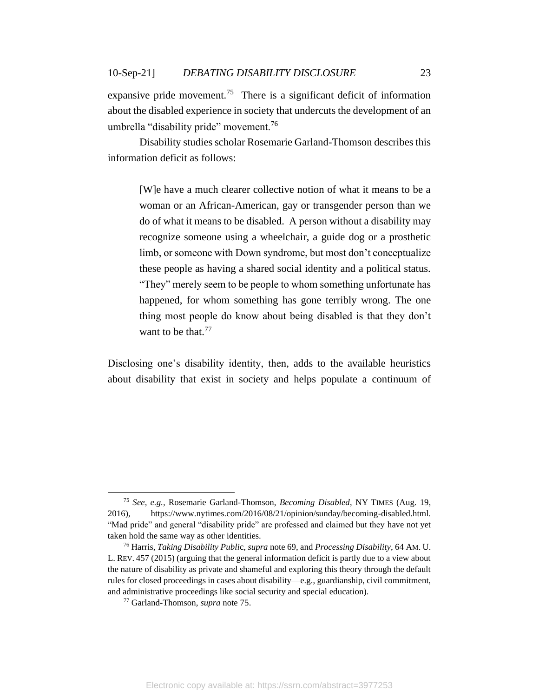expansive pride movement.<sup>75</sup> There is a significant deficit of information about the disabled experience in society that undercuts the development of an umbrella "disability pride" movement.<sup>76</sup>

Disability studies scholar Rosemarie Garland-Thomson describes this information deficit as follows:

[W]e have a much clearer collective notion of what it means to be a woman or an African-American, gay or transgender person than we do of what it means to be disabled. A person without a disability may recognize someone using a wheelchair, a guide dog or a prosthetic limb, or someone with Down syndrome, but most don't conceptualize these people as having a shared social identity and a political status. "They" merely seem to be people to whom something unfortunate has happened, for whom something has gone terribly wrong. The one thing most people do know about being disabled is that they don't want to be that.<sup>77</sup>

Disclosing one's disability identity, then, adds to the available heuristics about disability that exist in society and helps populate a continuum of

<sup>75</sup> *See, e.g.,* Rosemarie Garland-Thomson, *Becoming Disabled*, NY TIMES (Aug. 19, 2016), https://www.nytimes.com/2016/08/21/opinion/sunday/becoming-disabled.html. "Mad pride" and general "disability pride" are professed and claimed but they have not yet taken hold the same way as other identities.

<sup>76</sup> Harris, *Taking Disability Publi*c, *supra* note 69, and *Processing Disability*, 64 AM. U. L. REV. 457 (2015) (arguing that the general information deficit is partly due to a view about the nature of disability as private and shameful and exploring this theory through the default rules for closed proceedings in cases about disability—e.g., guardianship, civil commitment, and administrative proceedings like social security and special education).

<sup>77</sup> Garland-Thomson, *supra* note 75.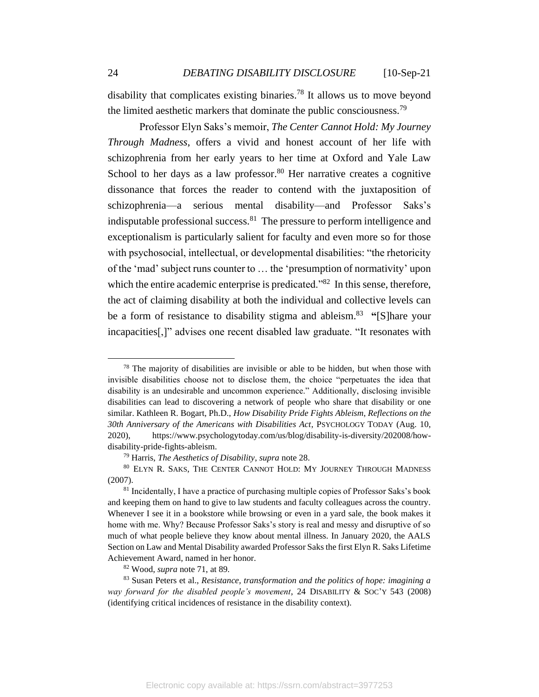disability that complicates existing binaries.<sup>78</sup> It allows us to move beyond the limited aesthetic markers that dominate the public consciousness.<sup>79</sup>

Professor Elyn Saks's memoir, *The Center Cannot Hold: My Journey Through Madness*, offers a vivid and honest account of her life with schizophrenia from her early years to her time at Oxford and Yale Law School to her days as a law professor.<sup>80</sup> Her narrative creates a cognitive dissonance that forces the reader to contend with the juxtaposition of schizophrenia—a serious mental disability—and Professor Saks's indisputable professional success. 81 The pressure to perform intelligence and exceptionalism is particularly salient for faculty and even more so for those with psychosocial, intellectual, or developmental disabilities: "the rhetoricity of the 'mad' subject runs counter to … the 'presumption of normativity' upon which the entire academic enterprise is predicated."<sup>82</sup> In this sense, therefore, the act of claiming disability at both the individual and collective levels can be a form of resistance to disability stigma and ableism. <sup>83</sup> **"**[S]hare your incapacities[,]" advises one recent disabled law graduate. "It resonates with

<sup>&</sup>lt;sup>78</sup> The majority of disabilities are invisible or able to be hidden, but when those with invisible disabilities choose not to disclose them, the choice "perpetuates the idea that disability is an undesirable and uncommon experience." Additionally, disclosing invisible disabilities can lead to discovering a network of people who share that disability or one similar. Kathleen R. Bogart, Ph.D., *How Disability Pride Fights Ableism*, *Reflections on the 30th Anniversary of the Americans with Disabilities Act*, PSYCHOLOGY TODAY (Aug. 10, 2020), https://www.psychologytoday.com/us/blog/disability-is-diversity/202008/howdisability-pride-fights-ableism.

<sup>79</sup> Harris, *The Aesthetics of Disability*, *supra* note 28.

<sup>80</sup> ELYN R. SAKS, THE CENTER CANNOT HOLD: MY JOURNEY THROUGH MADNESS (2007).

<sup>&</sup>lt;sup>81</sup> Incidentally, I have a practice of purchasing multiple copies of Professor Saks's book and keeping them on hand to give to law students and faculty colleagues across the country. Whenever I see it in a bookstore while browsing or even in a yard sale, the book makes it home with me. Why? Because Professor Saks's story is real and messy and disruptive of so much of what people believe they know about mental illness. In January 2020, the AALS Section on Law and Mental Disability awarded Professor Saks the first Elyn R. Saks Lifetime Achievement Award, named in her honor.

<sup>82</sup> Wood, *supra* note 71, at 89.

<sup>83</sup> Susan Peters et al., *Resistance, transformation and the politics of hope: imagining a way forward for the disabled people's movement*, 24 DISABILITY & SOC'Y 543 (2008) (identifying critical incidences of resistance in the disability context).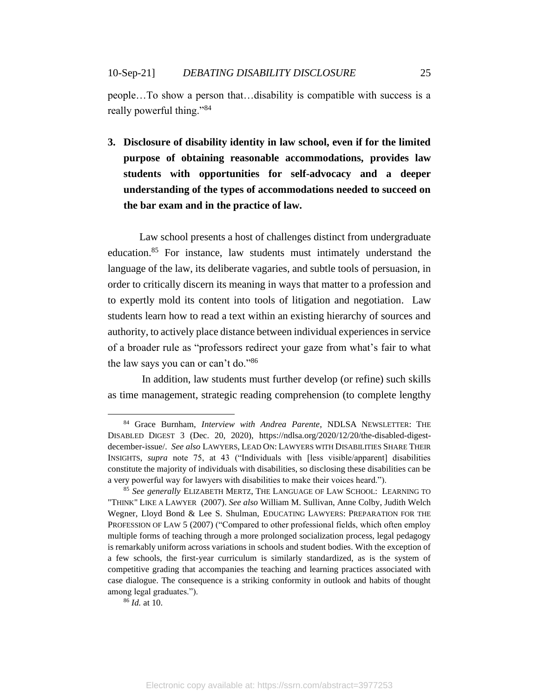people…To show a person that…disability is compatible with success is a really powerful thing."<sup>84</sup>

**3. Disclosure of disability identity in law school, even if for the limited purpose of obtaining reasonable accommodations, provides law students with opportunities for self-advocacy and a deeper understanding of the types of accommodations needed to succeed on the bar exam and in the practice of law.** 

Law school presents a host of challenges distinct from undergraduate education. <sup>85</sup> For instance, law students must intimately understand the language of the law, its deliberate vagaries, and subtle tools of persuasion, in order to critically discern its meaning in ways that matter to a profession and to expertly mold its content into tools of litigation and negotiation. Law students learn how to read a text within an existing hierarchy of sources and authority, to actively place distance between individual experiences in service of a broader rule as "professors redirect your gaze from what's fair to what the law says you can or can't do."<sup>86</sup>

In addition, law students must further develop (or refine) such skills as time management, strategic reading comprehension (to complete lengthy

<sup>84</sup> Grace Burnham, *Interview with Andrea Parente*, NDLSA NEWSLETTER: THE DISABLED DIGEST 3 (Dec. 20, 2020), https://ndlsa.org/2020/12/20/the-disabled-digestdecember-issue/. *See also* LAWYERS, LEAD ON: LAWYERS WITH DISABILITIES SHARE THEIR INSIGHTS, *supra* note 75, at 43 ("Individuals with [less visible/apparent] disabilities constitute the majority of individuals with disabilities, so disclosing these disabilities can be a very powerful way for lawyers with disabilities to make their voices heard.").

<sup>85</sup> *See generally* ELIZABETH MERTZ, THE LANGUAGE OF LAW SCHOOL: LEARNING TO "THINK" LIKE A LAWYER (2007). *See also* William M. Sullivan, Anne Colby, Judith Welch Wegner, Lloyd Bond & Lee S. Shulman, EDUCATING LAWYERS: PREPARATION FOR THE PROFESSION OF LAW 5 (2007) ("Compared to other professional fields, which often employ multiple forms of teaching through a more prolonged socialization process, legal pedagogy is remarkably uniform across variations in schools and student bodies. With the exception of a few schools, the first-year curriculum is similarly standardized, as is the system of competitive grading that accompanies the teaching and learning practices associated with case dialogue. The consequence is a striking conformity in outlook and habits of thought among legal graduates.").

<sup>86</sup> *Id.* at 10.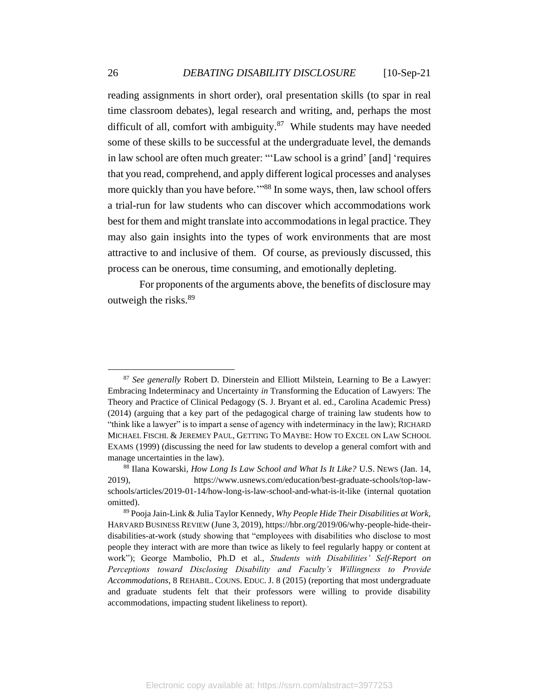reading assignments in short order), oral presentation skills (to spar in real time classroom debates), legal research and writing, and, perhaps the most difficult of all, comfort with ambiguity. $87$  While students may have needed some of these skills to be successful at the undergraduate level, the demands in law school are often much greater: "'Law school is a grind' [and] 'requires that you read, comprehend, and apply different logical processes and analyses more quickly than you have before."<sup>88</sup> In some ways, then, law school offers a trial-run for law students who can discover which accommodations work best for them and might translate into accommodations in legal practice. They may also gain insights into the types of work environments that are most attractive to and inclusive of them. Of course, as previously discussed, this process can be onerous, time consuming, and emotionally depleting.

For proponents of the arguments above, the benefits of disclosure may outweigh the risks.<sup>89</sup>

<sup>87</sup> *See generally* Robert D. Dinerstein and Elliott Milstein, Learning to Be a Lawyer: Embracing Indeterminacy and Uncertainty *in* Transforming the Education of Lawyers: The Theory and Practice of Clinical Pedagogy (S. J. Bryant et al. ed., Carolina Academic Press) (2014) (arguing that a key part of the pedagogical charge of training law students how to "think like a lawyer" is to impart a sense of agency with indeterminacy in the law); RICHARD MICHAEL FISCHL & JEREMEY PAUL, GETTING TO MAYBE: HOW TO EXCEL ON LAW SCHOOL EXAMS (1999) (discussing the need for law students to develop a general comfort with and manage uncertainties in the law).

<sup>88</sup> Ilana Kowarski, *How Long Is Law School and What Is It Like?* U.S. NEWS (Jan. 14, 2019), https://www.usnews.com/education/best-graduate-schools/top-lawschools/articles/2019-01-14/how-long-is-law-school-and-what-is-it-like (internal quotation omitted).

<sup>89</sup> Pooja Jain-Link & Julia Taylor Kennedy, *Why People Hide Their Disabilities at Work*, HARVARD BUSINESS REVIEW (June 3, 2019), https://hbr.org/2019/06/why-people-hide-theirdisabilities-at-work (study showing that "employees with disabilities who disclose to most people they interact with are more than twice as likely to feel regularly happy or content at work"); George Mambolio, Ph.D et al., *Students with Disabilities' Self-Report on Perceptions toward Disclosing Disability and Faculty's Willingness to Provide Accommodations*, 8 REHABIL. COUNS. EDUC. J. 8 (2015) (reporting that most undergraduate and graduate students felt that their professors were willing to provide disability accommodations, impacting student likeliness to report).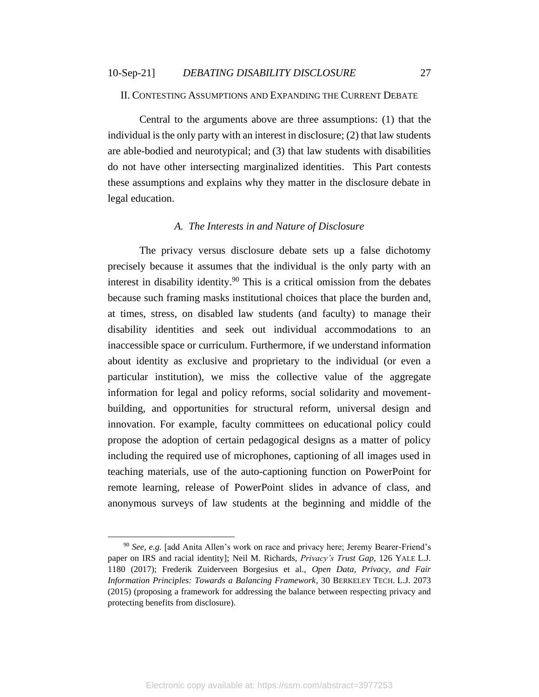#### <span id="page-27-0"></span>II. CONTESTING ASSUMPTIONS AND EXPANDING THE CURRENT DEBATE

Central to the arguments above are three assumptions: (1) that the individual is the only party with an interest in disclosure; (2) that law students are able-bodied and neurotypical; and (3) that law students with disabilities do not have other intersecting marginalized identities. This Part contests these assumptions and explains why they matter in the disclosure debate in legal education.

### *A. The Interests in and Nature of Disclosure*

<span id="page-27-1"></span>The privacy versus disclosure debate sets up a false dichotomy precisely because it assumes that the individual is the only party with an interest in disability identity.<sup>90</sup> This is a critical omission from the debates because such framing masks institutional choices that place the burden and, at times, stress, on disabled law students (and faculty) to manage their disability identities and seek out individual accommodations to an inaccessible space or curriculum. Furthermore, if we understand information about identity as exclusive and proprietary to the individual (or even a particular institution), we miss the collective value of the aggregate information for legal and policy reforms, social solidarity and movementbuilding, and opportunities for structural reform, universal design and innovation. For example, faculty committees on educational policy could propose the adoption of certain pedagogical designs as a matter of policy including the required use of microphones, captioning of all images used in teaching materials, use of the auto-captioning function on PowerPoint for remote learning, release of PowerPoint slides in advance of class, and anonymous surveys of law students at the beginning and middle of the

<sup>90</sup> *See, e.g.* [add Anita Allen's work on race and privacy here; Jeremy Bearer-Friend's paper on IRS and racial identity]; Neil M. Richards, *Privacy's Trust Gap*, 126 YALE L.J. 1180 (2017); Frederik Zuiderveen Borgesius et al., *Open Data, Privacy, and Fair Information Principles: Towards a Balancing Framework*, 30 BERKELEY TECH. L.J. 2073 (2015) (proposing a framework for addressing the balance between respecting privacy and protecting benefits from disclosure).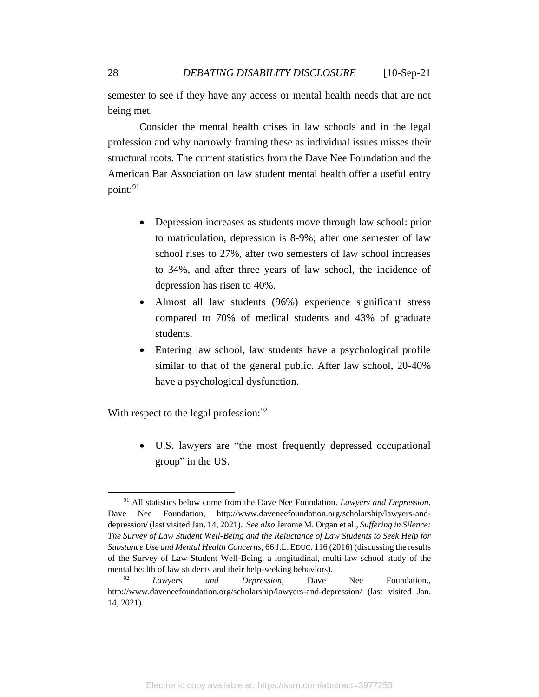semester to see if they have any access or mental health needs that are not being met.

Consider the mental health crises in law schools and in the legal profession and why narrowly framing these as individual issues misses their structural roots. The current statistics from the Dave Nee Foundation and the American Bar Association on law student mental health offer a useful entry point: 91

- Depression increases as students move through law school: prior to matriculation, depression is 8-9%; after one semester of law school rises to 27%, after two semesters of law school increases to 34%, and after three years of law school, the incidence of depression has risen to 40%.
- Almost all law students (96%) experience significant stress compared to 70% of medical students and 43% of graduate students.
- Entering law school, law students have a psychological profile similar to that of the general public. After law school, 20-40% have a psychological dysfunction.

With respect to the legal profession:  $92$ 

• U.S. lawyers are "the most frequently depressed occupational group" in the US.

<sup>91</sup> All statistics below come from the Dave Nee Foundation. *Lawyers and Depression*, Dave Nee Foundation, http://www.daveneefoundation.org/scholarship/lawyers-anddepression/ (last visited Jan. 14, 2021). *See also* Jerome M. Organ et al., *Suffering in Silence: The Survey of Law Student Well-Being and the Reluctance of Law Students to Seek Help for Substance Use and Mental Health Concerns*, 66 J.L.EDUC. 116 (2016) (discussing the results of the Survey of Law Student Well-Being, a longitudinal, multi-law school study of the mental health of law students and their help-seeking behaviors).

<sup>92</sup> *Lawyers and Depression*, Dave Nee Foundation., http://www.daveneefoundation.org/scholarship/lawyers-and-depression/ (last visited Jan. 14, 2021).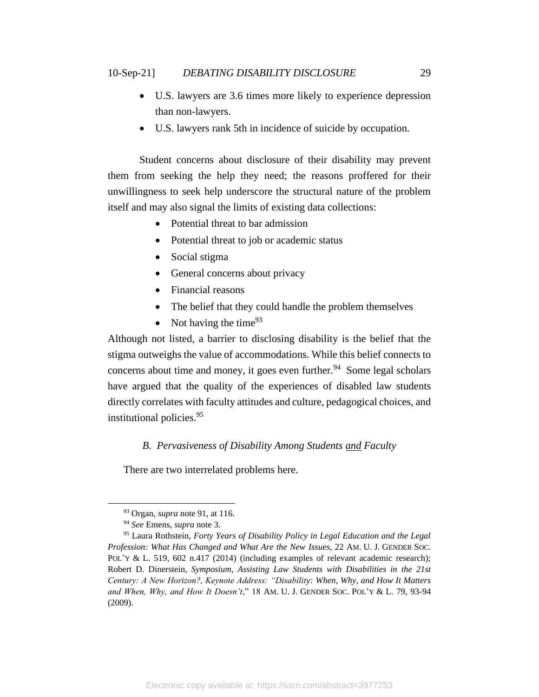- U.S. lawyers are 3.6 times more likely to experience depression than non-lawyers.
- U.S. lawyers rank 5th in incidence of suicide by occupation.

Student concerns about disclosure of their disability may prevent them from seeking the help they need; the reasons proffered for their unwillingness to seek help underscore the structural nature of the problem itself and may also signal the limits of existing data collections:

- Potential threat to bar admission
- Potential threat to job or academic status
- Social stigma
- General concerns about privacy
- Financial reasons
- The belief that they could handle the problem themselves
- Not having the time  $93$

Although not listed, a barrier to disclosing disability is the belief that the stigma outweighs the value of accommodations. While this belief connects to concerns about time and money, it goes even further.<sup>94</sup> Some legal scholars have argued that the quality of the experiences of disabled law students directly correlates with faculty attitudes and culture, pedagogical choices, and institutional policies. 95

## *B. Pervasiveness of Disability Among Students and Faculty*

<span id="page-29-0"></span>There are two interrelated problems here.

<sup>93</sup> Organ, *supra* note 91, at 116.

<sup>94</sup> *See* Emens, *supra* note 3.

<sup>95</sup> Laura Rothstein, *Forty Years of Disability Policy in Legal Education and the Legal Profession: What Has Changed and What Are the New Issues*, 22 AM. U. J. GENDER SOC. POL'Y & L. 519, 602 n.417 (2014) (including examples of relevant academic research); Robert D. Dinerstein, *Symposium, Assisting Law Students with Disabilities in the 21st Century: A New Horizon?, Keynote Address: "Disability: When, Why, and How It Matters and When, Why, and How It Doesn't*," 18 AM. U. J. GENDER SOC. POL'Y & L. 79, 93-94 (2009).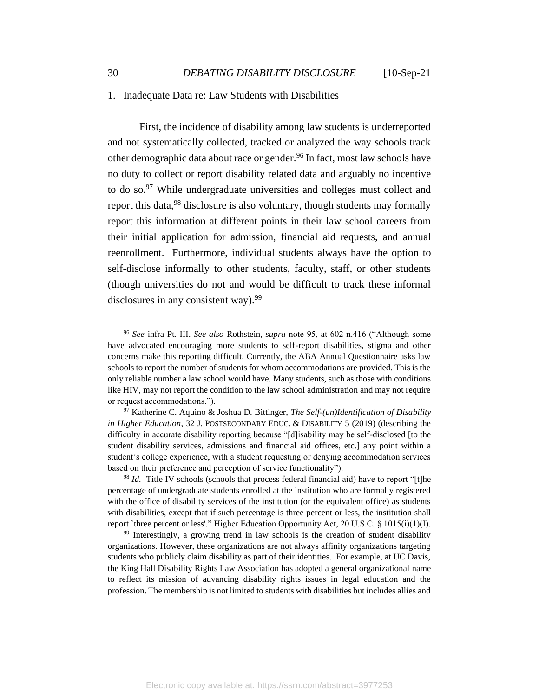#### 1. Inadequate Data re: Law Students with Disabilities

First, the incidence of disability among law students is underreported and not systematically collected, tracked or analyzed the way schools track other demographic data about race or gender. <sup>96</sup> In fact, most law schools have no duty to collect or report disability related data and arguably no incentive to do so. $97$  While undergraduate universities and colleges must collect and report this data,<sup>98</sup> disclosure is also voluntary, though students may formally report this information at different points in their law school careers from their initial application for admission, financial aid requests, and annual reenrollment. Furthermore, individual students always have the option to self-disclose informally to other students, faculty, staff, or other students (though universities do not and would be difficult to track these informal disclosures in any consistent way).<sup>99</sup>

<sup>96</sup> *See* infra Pt. III. *See also* Rothstein, *supra* note 95, at 602 n.416 ("Although some have advocated encouraging more students to self-report disabilities, stigma and other concerns make this reporting difficult. Currently, the ABA Annual Questionnaire asks law schools to report the number of students for whom accommodations are provided. This is the only reliable number a law school would have. Many students, such as those with conditions like HIV, may not report the condition to the law school administration and may not require or request accommodations.").

<sup>97</sup> Katherine C. Aquino & Joshua D. Bittinger, *The Self-(un)Identification of Disability in Higher Education*, 32 J. POSTSECONDARY EDUC. & DISABILITY 5 (2019) (describing the difficulty in accurate disability reporting because "[d]isability may be self-disclosed [to the student disability services, admissions and financial aid offices, etc.] any point within a student's college experience, with a student requesting or denying accommodation services based on their preference and perception of service functionality").

<sup>&</sup>lt;sup>98</sup> *Id.* Title IV schools (schools that process federal financial aid) have to report "[t]he percentage of undergraduate students enrolled at the institution who are formally registered with the office of disability services of the institution (or the equivalent office) as students with disabilities, except that if such percentage is three percent or less, the institution shall report `three percent or less'." Higher Education Opportunity Act, 20 U.S.C. § 1015(i)(1)(I).

<sup>&</sup>lt;sup>99</sup> Interestingly, a growing trend in law schools is the creation of student disability organizations. However, these organizations are not always affinity organizations targeting students who publicly claim disability as part of their identities. For example, at UC Davis, the King Hall Disability Rights Law Association has adopted a general organizational name to reflect its mission of advancing disability rights issues in legal education and the profession. The membership is not limited to students with disabilities but includes allies and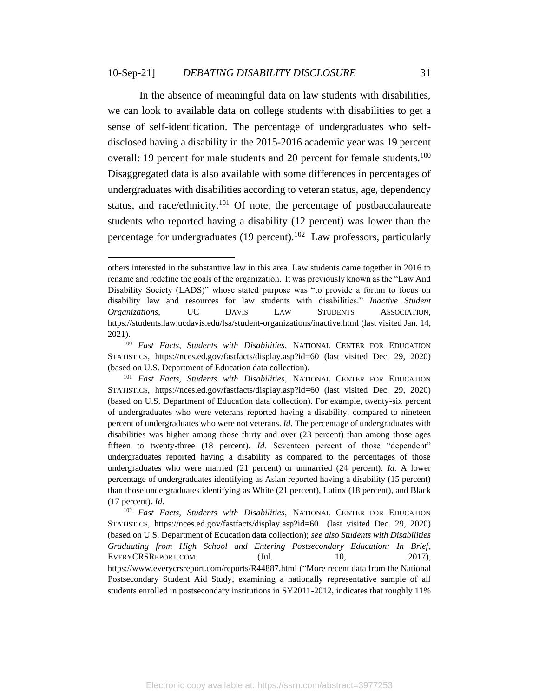In the absence of meaningful data on law students with disabilities, we can look to available data on college students with disabilities to get a sense of self-identification. The percentage of undergraduates who selfdisclosed having a disability in the 2015-2016 academic year was 19 percent overall: 19 percent for male students and 20 percent for female students.<sup>100</sup> Disaggregated data is also available with some differences in percentages of undergraduates with disabilities according to veteran status, age, dependency status, and race/ethnicity.<sup>101</sup> Of note, the percentage of postbaccalaureate students who reported having a disability (12 percent) was lower than the percentage for undergraduates  $(19$  percent).<sup>102</sup> Law professors, particularly

others interested in the substantive law in this area. Law students came together in 2016 to rename and redefine the goals of the organization. It was previously known as the "Law And Disability Society (LADS)" whose stated purpose was "to provide a forum to focus on disability law and resources for law students with disabilities." *Inactive Student Organizations*, UC DAVIS LAW STUDENTS ASSOCIATION, https://students.law.ucdavis.edu/lsa/student-organizations/inactive.html (last visited Jan. 14, 2021).

<sup>100</sup> *Fast Facts, Students with Disabilities*, NATIONAL CENTER FOR EDUCATION STATISTICS, https://nces.ed.gov/fastfacts/display.asp?id=60 (last visited Dec. 29, 2020) (based on U.S. Department of Education data collection).

<sup>101</sup> *Fast Facts, Students with Disabilities*, NATIONAL CENTER FOR EDUCATION STATISTICS, https://nces.ed.gov/fastfacts/display.asp?id=60 (last visited Dec. 29, 2020) (based on U.S. Department of Education data collection). For example, twenty-six percent of undergraduates who were veterans reported having a disability, compared to nineteen percent of undergraduates who were not veterans. *Id.* The percentage of undergraduates with disabilities was higher among those thirty and over (23 percent) than among those ages fifteen to twenty-three (18 percent). *Id.* Seventeen percent of those "dependent" undergraduates reported having a disability as compared to the percentages of those undergraduates who were married (21 percent) or unmarried (24 percent). *Id.* A lower percentage of undergraduates identifying as Asian reported having a disability (15 percent) than those undergraduates identifying as White (21 percent), Latinx (18 percent), and Black (17 percent). *Id.*

<sup>102</sup> *Fast Facts, Students with Disabilities*, NATIONAL CENTER FOR EDUCATION STATISTICS, https://nces.ed.gov/fastfacts/display.asp?id=60 (last visited Dec. 29, 2020) (based on U.S. Department of Education data collection); *see also Students with Disabilities Graduating from High School and Entering Postsecondary Education: In Brief*, EVERYCRSREPORT.COM (Jul. 10, 2017), https://www.everycrsreport.com/reports/R44887.html ("More recent data from the National Postsecondary Student Aid Study, examining a nationally representative sample of all students enrolled in postsecondary institutions in SY2011-2012, indicates that roughly 11%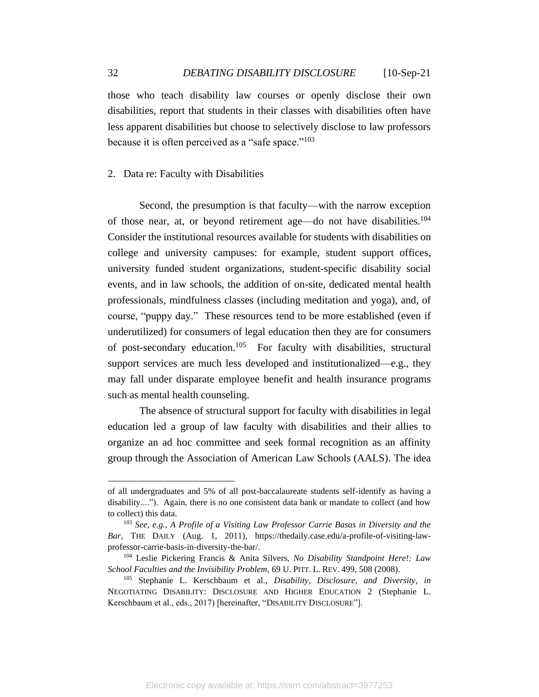those who teach disability law courses or openly disclose their own disabilities, report that students in their classes with disabilities often have less apparent disabilities but choose to selectively disclose to law professors because it is often perceived as a "safe space."<sup>103</sup>

### 2. Data re: Faculty with Disabilities

Second, the presumption is that faculty—with the narrow exception of those near, at, or beyond retirement age—do not have disabilities.<sup>104</sup> Consider the institutional resources available for students with disabilities on college and university campuses: for example, student support offices, university funded student organizations, student-specific disability social events, and in law schools, the addition of on-site, dedicated mental health professionals, mindfulness classes (including meditation and yoga), and, of course, "puppy day." These resources tend to be more established (even if underutilized) for consumers of legal education then they are for consumers of post-secondary education.<sup>105</sup> For faculty with disabilities, structural support services are much less developed and institutionalized—e.g., they may fall under disparate employee benefit and health insurance programs such as mental health counseling.

The absence of structural support for faculty with disabilities in legal education led a group of law faculty with disabilities and their allies to organize an ad hoc committee and seek formal recognition as an affinity group through the Association of American Law Schools (AALS). The idea

of all undergraduates and 5% of all post-baccalaureate students self-identify as having a disability...."). Again, there is no one consistent data bank or mandate to collect (and how to collect) this data.

<sup>103</sup> *See, e.g., A Profile of a Visiting Law Professor Carrie Basas in Diversity and the Bar*, THE DAILY (Aug. 1, 2011), https://thedaily.case.edu/a-profile-of-visiting-lawprofessor-carrie-basis-in-diversity-the-bar/.

<sup>104</sup> Leslie Pickering Francis & Anita Silvers, *No Disability Standpoint Here!: Law School Faculties and the Invisibility Problem*, 69 U. PITT. L. REV. 499, 508 (2008).

<sup>105</sup> Stephanie L. Kerschbaum et al., *Disability, Disclosure, and Diversity*, *in* NEGOTIATING DISABILITY: DISCLOSURE AND HIGHER EDUCATION 2 (Stephanie L. Kerschbaum et al., eds., 2017) [hereinafter, "DISABILITY DISCLOSURE"].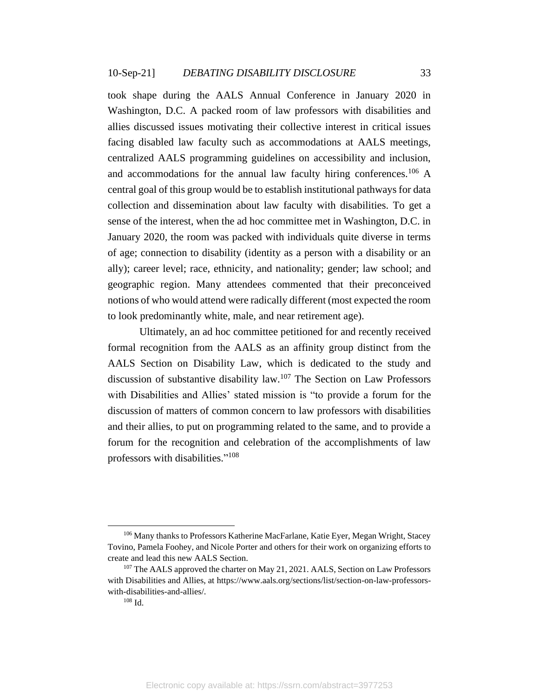took shape during the AALS Annual Conference in January 2020 in Washington, D.C. A packed room of law professors with disabilities and allies discussed issues motivating their collective interest in critical issues facing disabled law faculty such as accommodations at AALS meetings, centralized AALS programming guidelines on accessibility and inclusion, and accommodations for the annual law faculty hiring conferences.<sup>106</sup> A central goal of this group would be to establish institutional pathways for data collection and dissemination about law faculty with disabilities. To get a sense of the interest, when the ad hoc committee met in Washington, D.C. in January 2020, the room was packed with individuals quite diverse in terms of age; connection to disability (identity as a person with a disability or an ally); career level; race, ethnicity, and nationality; gender; law school; and geographic region. Many attendees commented that their preconceived notions of who would attend were radically different (most expected the room to look predominantly white, male, and near retirement age).

Ultimately, an ad hoc committee petitioned for and recently received formal recognition from the AALS as an affinity group distinct from the AALS Section on Disability Law, which is dedicated to the study and discussion of substantive disability law.<sup>107</sup> The Section on Law Professors with Disabilities and Allies' stated mission is "to provide a forum for the discussion of matters of common concern to law professors with disabilities and their allies, to put on programming related to the same, and to provide a forum for the recognition and celebration of the accomplishments of law professors with disabilities."<sup>108</sup>

<sup>106</sup> Many thanks to Professors Katherine MacFarlane, Katie Eyer, Megan Wright, Stacey Tovino, Pamela Foohey, and Nicole Porter and others for their work on organizing efforts to create and lead this new AALS Section.

<sup>&</sup>lt;sup>107</sup> The AALS approved the charter on May 21, 2021. AALS, Section on Law Professors with Disabilities and Allies, at https://www.aals.org/sections/list/section-on-law-professorswith-disabilities-and-allies/.

<sup>108</sup> Id.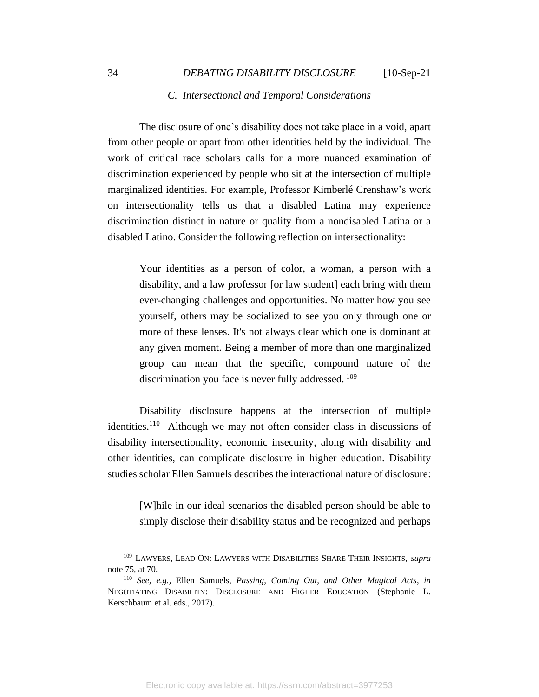#### *C. Intersectional and Temporal Considerations*

<span id="page-34-0"></span>The disclosure of one's disability does not take place in a void, apart from other people or apart from other identities held by the individual. The work of critical race scholars calls for a more nuanced examination of discrimination experienced by people who sit at the intersection of multiple marginalized identities. For example, Professor Kimberlé Crenshaw's work on intersectionality tells us that a disabled Latina may experience discrimination distinct in nature or quality from a nondisabled Latina or a disabled Latino. Consider the following reflection on intersectionality:

Your identities as a person of color, a woman, a person with a disability, and a law professor [or law student] each bring with them ever-changing challenges and opportunities. No matter how you see yourself, others may be socialized to see you only through one or more of these lenses. It's not always clear which one is dominant at any given moment. Being a member of more than one marginalized group can mean that the specific, compound nature of the discrimination you face is never fully addressed. <sup>109</sup>

Disability disclosure happens at the intersection of multiple identities.<sup>110</sup> Although we may not often consider class in discussions of disability intersectionality, economic insecurity, along with disability and other identities, can complicate disclosure in higher education. Disability studies scholar Ellen Samuels describes the interactional nature of disclosure:

[W]hile in our ideal scenarios the disabled person should be able to simply disclose their disability status and be recognized and perhaps

<sup>109</sup> LAWYERS, LEAD ON: LAWYERS WITH DISABILITIES SHARE THEIR INSIGHTS, *supra*  note 75, at 70.

<sup>110</sup> *See, e.g.,* Ellen Samuels, *Passing, Coming Out, and Other Magical Acts*, *in* NEGOTIATING DISABILITY: DISCLOSURE AND HIGHER EDUCATION (Stephanie L. Kerschbaum et al. eds., 2017).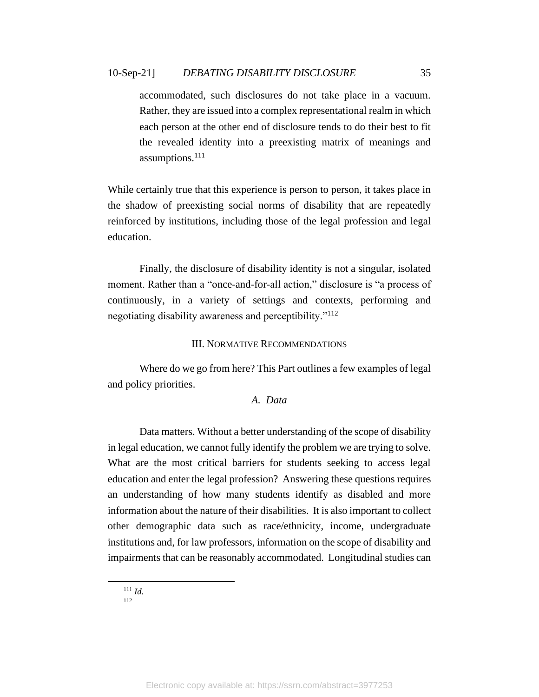accommodated, such disclosures do not take place in a vacuum. Rather, they are issued into a complex representational realm in which each person at the other end of disclosure tends to do their best to fit the revealed identity into a preexisting matrix of meanings and assumptions.<sup>111</sup>

While certainly true that this experience is person to person, it takes place in the shadow of preexisting social norms of disability that are repeatedly reinforced by institutions, including those of the legal profession and legal education.

Finally, the disclosure of disability identity is not a singular, isolated moment. Rather than a "once-and-for-all action," disclosure is "a process of continuously, in a variety of settings and contexts, performing and negotiating disability awareness and perceptibility."<sup>112</sup>

### III. NORMATIVE RECOMMENDATIONS

<span id="page-35-1"></span><span id="page-35-0"></span>Where do we go from here? This Part outlines a few examples of legal and policy priorities.

## *A. Data*

Data matters. Without a better understanding of the scope of disability in legal education, we cannot fully identify the problem we are trying to solve. What are the most critical barriers for students seeking to access legal education and enter the legal profession? Answering these questions requires an understanding of how many students identify as disabled and more information about the nature of their disabilities. It is also important to collect other demographic data such as race/ethnicity, income, undergraduate institutions and, for law professors, information on the scope of disability and impairments that can be reasonably accommodated. Longitudinal studies can

 $111$  *Id.* 112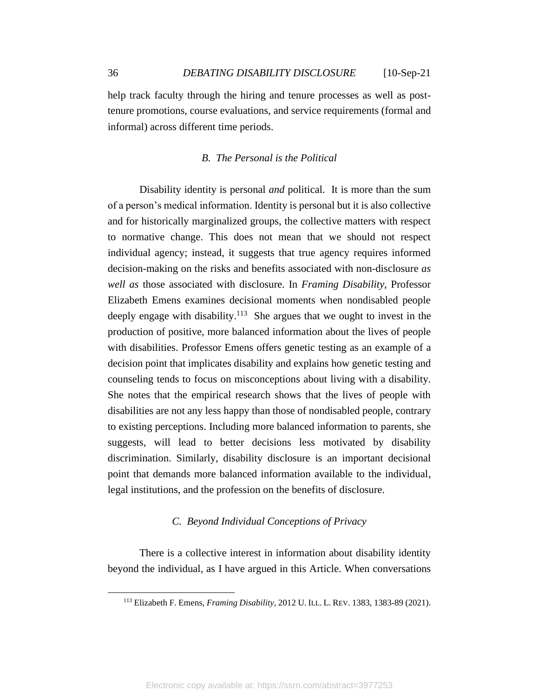help track faculty through the hiring and tenure processes as well as posttenure promotions, course evaluations, and service requirements (formal and informal) across different time periods.

## *B. The Personal is the Political*

<span id="page-36-0"></span>Disability identity is personal *and* political. It is more than the sum of a person's medical information. Identity is personal but it is also collective and for historically marginalized groups, the collective matters with respect to normative change. This does not mean that we should not respect individual agency; instead, it suggests that true agency requires informed decision-making on the risks and benefits associated with non-disclosure *as well as* those associated with disclosure. In *Framing Disability*, Professor Elizabeth Emens examines decisional moments when nondisabled people deeply engage with disability.<sup>113</sup> She argues that we ought to invest in the production of positive, more balanced information about the lives of people with disabilities. Professor Emens offers genetic testing as an example of a decision point that implicates disability and explains how genetic testing and counseling tends to focus on misconceptions about living with a disability. She notes that the empirical research shows that the lives of people with disabilities are not any less happy than those of nondisabled people, contrary to existing perceptions. Including more balanced information to parents, she suggests, will lead to better decisions less motivated by disability discrimination. Similarly, disability disclosure is an important decisional point that demands more balanced information available to the individual, legal institutions, and the profession on the benefits of disclosure.

### *C. Beyond Individual Conceptions of Privacy*

<span id="page-36-1"></span>There is a collective interest in information about disability identity beyond the individual, as I have argued in this Article. When conversations

<sup>113</sup> Elizabeth F. Emens, *Framing Disability*, 2012 U. ILL. L. REV. 1383, 1383-89 (2021).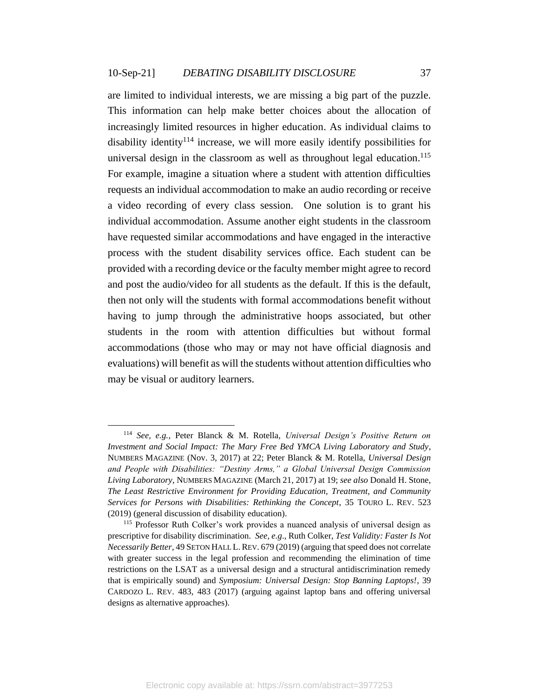are limited to individual interests, we are missing a big part of the puzzle. This information can help make better choices about the allocation of increasingly limited resources in higher education. As individual claims to disability identity<sup>114</sup> increase, we will more easily identify possibilities for universal design in the classroom as well as throughout legal education.<sup>115</sup> For example, imagine a situation where a student with attention difficulties requests an individual accommodation to make an audio recording or receive a video recording of every class session. One solution is to grant his individual accommodation. Assume another eight students in the classroom have requested similar accommodations and have engaged in the interactive process with the student disability services office. Each student can be provided with a recording device or the faculty member might agree to record and post the audio/video for all students as the default. If this is the default, then not only will the students with formal accommodations benefit without having to jump through the administrative hoops associated, but other students in the room with attention difficulties but without formal accommodations (those who may or may not have official diagnosis and evaluations) will benefit as will the students without attention difficulties who may be visual or auditory learners.

<sup>114</sup> *See, e.g.*, Peter Blanck & M. Rotella, *Universal Design's Positive Return on Investment and Social Impact: The Mary Free Bed YMCA Living Laboratory and Study*, NUMBERS MAGAZINE (Nov. 3, 2017) at 22; Peter Blanck & M. Rotella, *Universal Design and People with Disabilities: "Destiny Arms," a Global Universal Design Commission Living Laboratory*, NUMBERS MAGAZINE (March 21, 2017) at 19; *see also* Donald H. Stone, *The Least Restrictive Environment for Providing Education, Treatment, and Community Services for Persons with Disabilities: Rethinking the Concept*, 35 TOURO L. REV. 523 (2019) (general discussion of disability education).

<sup>115</sup> Professor Ruth Colker's work provides a nuanced analysis of universal design as prescriptive for disability discrimination. *See, e.g*., Ruth Colker, *Test Validity: Faster Is Not Necessarily Better*, 49 SETON HALL L.REV. 679 (2019) (arguing that speed does not correlate with greater success in the legal profession and recommending the elimination of time restrictions on the LSAT as a universal design and a structural antidiscrimination remedy that is empirically sound) and *Symposium: Universal Design: Stop Banning Laptops!*, 39 CARDOZO L. REV. 483, 483 (2017) (arguing against laptop bans and offering universal designs as alternative approaches).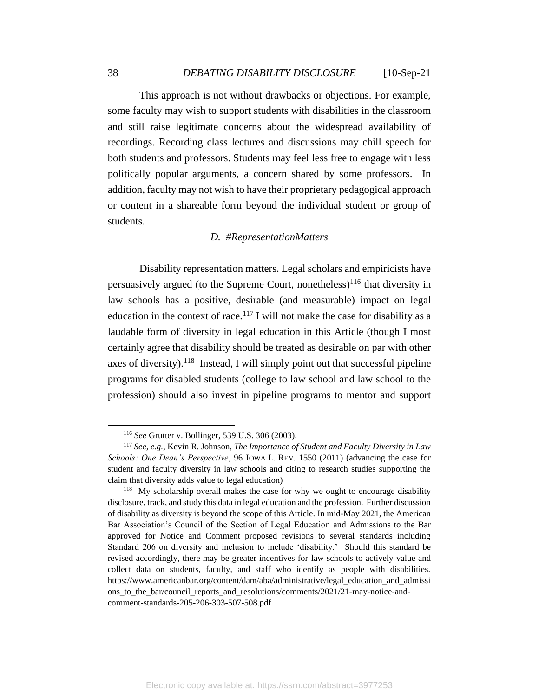This approach is not without drawbacks or objections. For example, some faculty may wish to support students with disabilities in the classroom and still raise legitimate concerns about the widespread availability of recordings. Recording class lectures and discussions may chill speech for both students and professors. Students may feel less free to engage with less politically popular arguments, a concern shared by some professors. In addition, faculty may not wish to have their proprietary pedagogical approach or content in a shareable form beyond the individual student or group of students.

## *D. #RepresentationMatters*

<span id="page-38-0"></span>Disability representation matters. Legal scholars and empiricists have persuasively argued (to the Supreme Court, nonetheless)<sup>116</sup> that diversity in law schools has a positive, desirable (and measurable) impact on legal education in the context of race.<sup>117</sup> I will not make the case for disability as a laudable form of diversity in legal education in this Article (though I most certainly agree that disability should be treated as desirable on par with other axes of diversity).<sup>118</sup> Instead, I will simply point out that successful pipeline programs for disabled students (college to law school and law school to the profession) should also invest in pipeline programs to mentor and support

<sup>116</sup> *See* Grutter v. Bollinger, 539 U.S. 306 (2003).

<sup>117</sup> *See, e.g.,* Kevin R. Johnson, *The Importance of Student and Faculty Diversity in Law Schools: One Dean's Perspective*, 96 IOWA L. REV. 1550 (2011) (advancing the case for student and faculty diversity in law schools and citing to research studies supporting the claim that diversity adds value to legal education)

<sup>&</sup>lt;sup>118</sup> My scholarship overall makes the case for why we ought to encourage disability disclosure, track, and study this data in legal education and the profession. Further discussion of disability as diversity is beyond the scope of this Article. In mid-May 2021, the American Bar Association's Council of the Section of Legal Education and Admissions to the Bar approved for Notice and Comment proposed revisions to several standards including Standard 206 on diversity and inclusion to include 'disability.' Should this standard be revised accordingly, there may be greater incentives for law schools to actively value and collect data on students, faculty, and staff who identify as people with disabilities. https://www.americanbar.org/content/dam/aba/administrative/legal\_education\_and\_admissi ons\_to\_the\_bar/council\_reports\_and\_resolutions/comments/2021/21-may-notice-andcomment-standards-205-206-303-507-508.pdf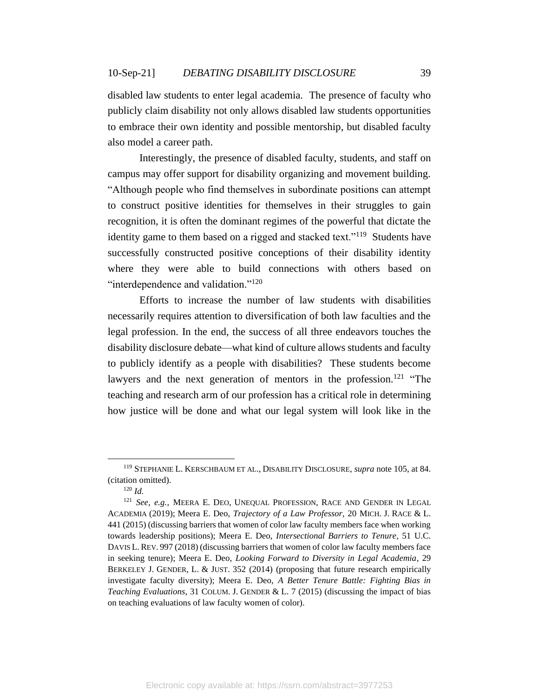disabled law students to enter legal academia. The presence of faculty who publicly claim disability not only allows disabled law students opportunities to embrace their own identity and possible mentorship, but disabled faculty also model a career path.

Interestingly, the presence of disabled faculty, students, and staff on campus may offer support for disability organizing and movement building. "Although people who find themselves in subordinate positions can attempt to construct positive identities for themselves in their struggles to gain recognition, it is often the dominant regimes of the powerful that dictate the identity game to them based on a rigged and stacked text."<sup>119</sup> Students have successfully constructed positive conceptions of their disability identity where they were able to build connections with others based on "interdependence and validation."<sup>120</sup>

Efforts to increase the number of law students with disabilities necessarily requires attention to diversification of both law faculties and the legal profession. In the end, the success of all three endeavors touches the disability disclosure debate—what kind of culture allows students and faculty to publicly identify as a people with disabilities? These students become lawyers and the next generation of mentors in the profession.<sup>121</sup> "The teaching and research arm of our profession has a critical role in determining how justice will be done and what our legal system will look like in the

<sup>119</sup> STEPHANIE L. KERSCHBAUM ET AL., DISABILITY DISCLOSURE, *supra* note 105, at 84. (citation omitted).

<sup>120</sup> *Id.*

<sup>121</sup> *See, e.g.*, MEERA E. DEO, UNEQUAL PROFESSION, RACE AND GENDER IN LEGAL ACADEMIA (2019); Meera E. Deo, *Trajectory of a Law Professor*, 20 MICH. J. RACE & L. 441 (2015) (discussing barriers that women of color law faculty members face when working towards leadership positions); Meera E. Deo, *Intersectional Barriers to Tenure*, 51 U.C. DAVIS L. REV. 997 (2018) (discussing barriers that women of color law faculty members face in seeking tenure); Meera E. Deo, *Looking Forward to Diversity in Legal Academia*, 29 BERKELEY J. GENDER, L. & JUST. 352 (2014) (proposing that future research empirically investigate faculty diversity); Meera E. Deo, *A Better Tenure Battle: Fighting Bias in Teaching Evaluations*, 31 COLUM. J. GENDER & L. 7 (2015) (discussing the impact of bias on teaching evaluations of law faculty women of color).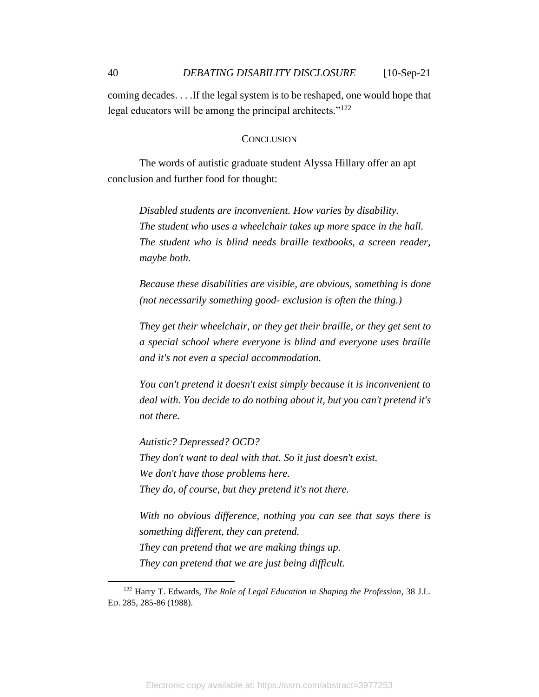coming decades. . . .If the legal system is to be reshaped, one would hope that legal educators will be among the principal architects."<sup>122</sup>

#### **CONCLUSION**

<span id="page-40-0"></span>The words of autistic graduate student Alyssa Hillary offer an apt conclusion and further food for thought:

*Disabled students are inconvenient. How varies by disability. The student who uses a wheelchair takes up more space in the hall. The student who is blind needs braille textbooks, a screen reader, maybe both.*

*Because these disabilities are visible, are obvious, something is done (not necessarily something good- exclusion is often the thing.)*

*They get their wheelchair, or they get their braille, or they get sent to a special school where everyone is blind and everyone uses braille and it's not even a special accommodation.*

*You can't pretend it doesn't exist simply because it is inconvenient to deal with. You decide to do nothing about it, but you can't pretend it's not there.*

*Autistic? Depressed? OCD? They don't want to deal with that. So it just doesn't exist. We don't have those problems here. They do, of course, but they pretend it's not there.*

*With no obvious difference, nothing you can see that says there is something different, they can pretend. They can pretend that we are making things up. They can pretend that we are just being difficult.*

<sup>122</sup> Harry T. Edwards, *The Role of Legal Education in Shaping the Profession*, 38 J.L. ED. 285, 285-86 (1988).